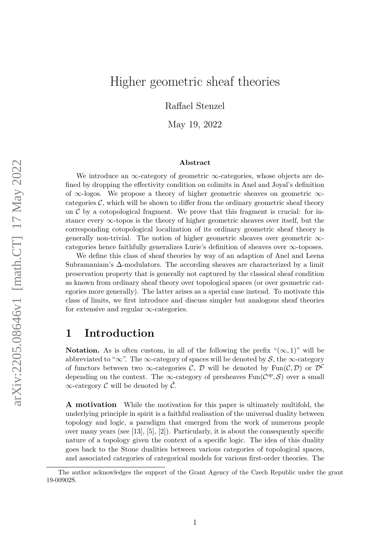# Higher geometric sheaf theories

Raffael Stenzel

May 19, 2022

#### **Abstract**

We introduce an  $\infty$ -category of geometric  $\infty$ -categories, whose objects are defined by dropping the effectivity condition on colimits in Anel and Joyal's definition of  $\infty$ -logos. We propose a theory of higher geometric sheaves on geometric  $\infty$ categories  $\mathcal{C}$ , which will be shown to differ from the ordinary geometric sheaf theory on  $\mathcal C$  by a cotopological fragment. We prove that this fragment is crucial: for instance every ∞-topos is the theory of higher geometric sheaves over itself, but the corresponding cotopological localization of its ordinary geometric sheaf theory is generally non-trivial. The notion of higher geometric sheaves over geometric  $\infty$ categories hence faithfully generalizes Lurie's definition of sheaves over ∞-toposes.

We define this class of sheaf theories by way of an adaption of Anel and Leena Subramaniam's ∆-modulators. The according sheaves are characterized by a limit preservation property that is generally not captured by the classical sheaf condition as known from ordinary sheaf theory over topological spaces (or over geometric categories more generally). The latter arises as a special case instead. To motivate this class of limits, we first introduce and discuss simpler but analogous sheaf theories for extensive and regular  $\infty$ -categories.

### **1 Introduction**

**Notation.** As is often custom, in all of the following the prefix " $(\infty, 1)$ " will be abbreviated to " $\infty$ ". The  $\infty$ -category of spaces will be denoted by S, the  $\infty$ -category of functors between two  $\infty$ -categories C, D will be denoted by Fun $(C, D)$  or  $D^C$ depending on the context. The  $\infty$ -category of presheaves  $\text{Fun}(\mathcal{C}^{op}, \mathcal{S})$  over a small  $\infty$ -category C will be denoted by  $\hat{\mathcal{C}}$ .

**A motivation** While the motivation for this paper is ultimately multifold, the underlying principle in spirit is a faithful realisation of the universal duality between topology and logic, a paradigm that emerged from the work of numerous people over many years (see [\[13\]](#page-35-0), [\[5\]](#page-35-1), [\[2\]](#page-34-0)). Particularly, it is about the consequently specific nature of a topology given the context of a specific logic. The idea of this duality goes back to the Stone dualities between various categories of topological spaces, and associated categories of categorical models for various first-order theories. The

The author acknowledges the support of the Grant Agency of the Czech Republic under the grant 19-00902S.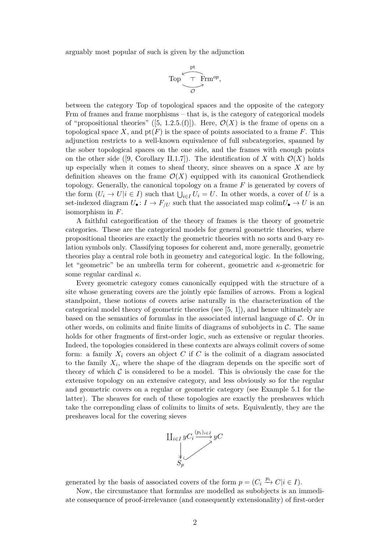arguably most popular of such is given by the adjunction

$$
\text{Top} \xrightarrow{\text{pt}} \text{Frm}^{op},
$$

between the category Top of topological spaces and the opposite of the category Frm of frames and frame morphisms – that is, is the category of categorical models of "propositional theories" ([\[5,](#page-35-1) 1.2.5.(f)]). Here,  $\mathcal{O}(X)$  is the frame of opens on a topological space *X*, and  $pt(F)$  is the space of points associated to a frame *F*. This adjunction restricts to a well-known equivalence of full subcategories, spanned by the sober topological spaces on the one side, and the frames with enough points on the other side ([\[9,](#page-35-2) Corollary II.1.7]). The identification of X with  $\mathcal{O}(X)$  holds up especially when it comes to sheaf theory, since sheaves on a space *X* are by definition sheaves on the frame  $\mathcal{O}(X)$  equipped with its canonical Grothendieck topology. Generally, the canonical topology on a frame *F* is generated by covers of the form  $(U_i \to U | i \in I)$  such that  $\bigcup_{i \in I} U_i = U$ . In other words, a cover of *U* is a set-indexed diagram  $U_{\bullet}: I \to F_{/U}$  such that the associated map colim $U_{\bullet} \to U$  is an isomorphism in *F*.

A faithful categorification of the theory of frames is the theory of geometric categories. These are the categorical models for general geometric theories, where propositional theories are exactly the geometric theories with no sorts and 0-ary relation symbols only. Classifying toposes for coherent and, more generally, geometric theories play a central role both in geometry and categorical logic. In the following, let "geometric" be an umbrella term for coherent, geometric and *κ*-geometric for some regular cardinal *κ*.

Every geometric category comes canonically equipped with the structure of a site whose generating covers are the jointly epic families of arrows. From a logical standpoint, these notions of covers arise naturally in the characterization of the categorical model theory of geometric theories (see [\[5,](#page-35-1) 1]), and hence ultimately are based on the semantics of formulas in the associated internal language of  $\mathcal{C}$ . Or in other words, on colimits and finite limits of diagrams of subobjects in  $\mathcal{C}$ . The same holds for other fragments of first-order logic, such as extensive or regular theories. Indeed, the topologies considered in these contexts are always colimit covers of some form: a family  $X_i$  covers an object  $C$  if  $C$  is the colimit of a diagram associated to the family  $X_i$ , where the shape of the diagram depends on the specific sort of theory of which  $C$  is considered to be a model. This is obviously the case for the extensive topology on an extensive category, and less obviously so for the regular and geometric covers on a regular or geometric category (see Example [5.1](#page-15-0) for the latter). The sheaves for each of these topologies are exactly the presheaves which take the correponding class of colimits to limits of sets. Equivalently, they are the presheaves local for the covering sieves



generated by the basis of associated covers of the form  $p = (C_i \xrightarrow{p_i} C | i \in I)$ .

Now, the circumstance that formulas are modelled as subobjects is an immediate consequence of proof-irrelevance (and consequently extensionality) of first-order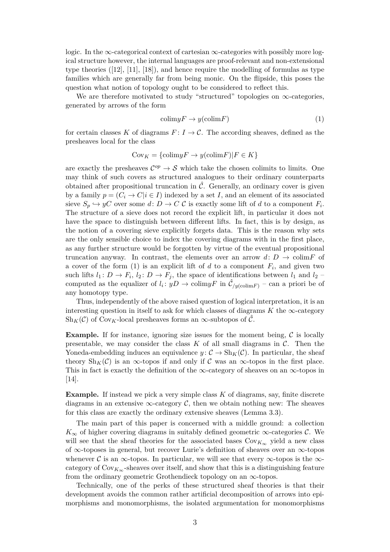logic. In the  $\infty$ -categorical context of cartesian  $\infty$ -categories with possibly more logical structure however, the internal languages are proof-relevant and non-extensional type theories ([\[12\]](#page-35-3), [\[11\]](#page-35-4), [\[18\]](#page-35-5)), and hence require the modelling of formulas as type families which are generally far from being monic. On the flipside, this poses the question what notion of topology ought to be considered to reflect this.

We are therefore motivated to study "structured" topologies on  $\infty$ -categories, generated by arrows of the form

<span id="page-2-0"></span>
$$
colim yF \to y(colim F) \tag{1}
$$

for certain classes K of diagrams  $F: I \to \mathcal{C}$ . The according sheaves, defined as the presheaves local for the class

$$
Cov_K = \{colim yF \to y(colim F) | F \in K \}
$$

are exactly the presheaves  $\mathcal{C}^{op} \to \mathcal{S}$  which take the chosen colimits to limits. One may think of such covers as structured analogues to their ordinary counterparts obtained after propositional truncation in  $\hat{\mathcal{C}}$ . Generally, an ordinary cover is given by a family  $p = (C_i \rightarrow C | i \in I)$  indexed by a set *I*, and an element of its associated sieve  $S_p \hookrightarrow yC$  over some  $d: D \to C$  C is exactly some lift of *d* to a component  $F_i$ . The structure of a sieve does not record the explicit lift, in particular it does not have the space to distinguish between different lifts. In fact, this is by design, as the notion of a covering sieve explicitly forgets data. This is the reason why sets are the only sensible choice to index the covering diagrams with in the first place, as any further structure would be forgotten by virtue of the eventual propositional truncation anyway. In contrast, the elements over an arrow  $d: D \to \text{colim} F$  of a cover of the form  $(1)$  is an explicit lift of *d* to a component  $F_i$ , and given two such lifts  $l_1: D \to F_i$ ,  $l_2: D \to F_j$ , the space of identifications between  $l_1$  and  $l_2$ computed as the equalizer of  $l_i: yD \to \text{colim}yF$  in  $\hat{\mathcal{C}}_{/y(\text{colim}F)}$  – can a priori be of any homotopy type.

Thus, independently of the above raised question of logical interpretation, it is an interesting question in itself to ask for which classes of diagrams  $K$  the  $\infty$ -category  $\text{Sh}_K(\mathcal{C})$  of Cov<sub>K</sub>-local presheaves forms an  $\infty$ -subtopos of  $\hat{\mathcal{C}}$ .

**Example.** If for instance, ignoring size issues for the moment being,  $\mathcal{C}$  is locally presentable, we may consider the class  $K$  of all small diagrams in  $\mathcal{C}$ . Then the Yoneda-embedding induces an equivalence  $y: \mathcal{C} \to Sh_K(\mathcal{C})$ . In particular, the sheaf theory  $\text{Sh}_K(\mathcal{C})$  is an  $\infty$ -topos if and only if  $\mathcal C$  was an  $\infty$ -topos in the first place. This in fact is exactly the definition of the  $\infty$ -category of sheaves on an  $\infty$ -topos in [\[14\]](#page-35-6).

**Example.** If instead we pick a very simple class K of diagrams, say, finite discrete diagrams in an extensive  $\infty$ -category C, then we obtain nothing new: The sheaves for this class are exactly the ordinary extensive sheaves (Lemma [3.3\)](#page-9-0).

The main part of this paper is concerned with a middle ground: a collection  $K_{\infty}$  of higher covering diagrams in suitably defined geometric  $\infty$ -categories  $\mathcal{C}$ . We will see that the sheaf theories for the associated bases  $Cov_{K_{\infty}}$  yield a new class of ∞-toposes in general, but recover Lurie's definition of sheaves over an ∞-topos whenever C is an  $\infty$ -topos. In particular, we will see that every  $\infty$ -topos is the  $\infty$ category of  $\text{Cov}_{K_{\infty}}$ -sheaves over itself, and show that this is a distinguishing feature from the ordinary geometric Grothendieck topology on an ∞-topos.

Technically, one of the perks of these structured sheaf theories is that their development avoids the common rather artificial decomposition of arrows into epimorphisms and monomorphisms, the isolated argumentation for monomorphisms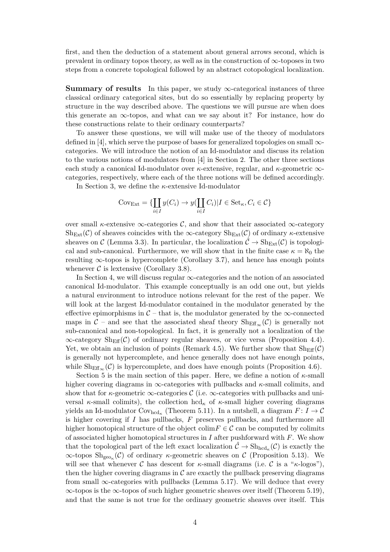first, and then the deduction of a statement about general arrows second, which is prevalent in ordinary topos theory, as well as in the construction of  $\infty$ -toposes in two steps from a concrete topological followed by an abstract cotopological localization.

**Summary of results** In this paper, we study ∞-categorical instances of three classical ordinary categorical sites, but do so essentially by replacing property by structure in the way described above. The questions we will pursue are when does this generate an  $\infty$ -topos, and what can we say about it? For instance, how do these constructions relate to their ordinary counterparts?

To answer these questions, we will will make use of the theory of modulators defined in [\[4\]](#page-35-7), which serve the purpose of bases for generalized topologies on small  $\infty$ categories. We will introduce the notion of an Id-modulator and discuss its relation to the various notions of modulators from [\[4\]](#page-35-7) in Section [2.](#page-4-0) The other three sections each study a canonical Id-modulator over *κ*-extensive, regular, and *κ*-geometric ∞ categories, respectively, where each of the three notions will be defined accordingly.

In Section [3,](#page-8-0) we define the *κ*-extensive Id-modulator

$$
Cov_{\text{Ext}} = \{ \coprod_{i \in I} y(C_i) \to y(\coprod_{i \in I} C_i) | I \in \text{Set}_{\kappa}, C_i \in \mathcal{C} \}
$$

over small *κ*-extensive  $\infty$ -categories C, and show that their associated  $\infty$ -category  $\text{Sh}_{\text{Ext}}(\mathcal{C})$  of sheaves coincides with the  $\infty$ -category  $\text{Sh}_{\text{Ext}}(\mathcal{C})$  of ordinary *κ*-extensive sheaves on C (Lemma [3.3\)](#page-9-0). In particular, the localization  $\hat{\mathcal{C}} \to Sh_{Ext}(\mathcal{C})$  is topological and sub-canonical. Furthermore, we will show that in the finite case  $\kappa = \aleph_0$  the resulting ∞-topos is hypercomplete (Corollary [3.7\)](#page-11-0), and hence has enough points whenever  $\mathcal C$  is lextensive (Corollary [3.8\)](#page-11-1).

In Section [4,](#page-11-2) we will discuss regular  $\infty$ -categories and the notion of an associated canonical Id-modulator. This example conceptually is an odd one out, but yields a natural environment to introduce notions relevant for the rest of the paper. We will look at the largest Id-modulator contained in the modulator generated by the effective epimorphisms in  $C$  – that is, the modulator generated by the  $\infty$ -connected maps in  $\mathcal{C}$  – and see that the associated sheaf theory  $\text{Sh}_{\text{Eff}_{\infty}}(\mathcal{C})$  is generally not sub-canonical and non-topological. In fact, it is generally not a localization of the  $\infty$ -category  $\text{Sh}_{\text{Eff}}(\mathcal{C})$  of ordinary regular sheaves, or vice versa (Proposition [4.4\)](#page-13-0). Yet, we obtain an inclusion of points (Remark [4.5\)](#page-13-1). We further show that  $\text{Sh}_{\text{Eff}}(\mathcal{C})$ is generally not hypercomplete, and hence generally does not have enough points, while  $\text{Sh}_{\text{Eff}_{\infty}}(\mathcal{C})$  is hypercomplete, and does have enough points (Proposition [4.6\)](#page-13-2).

Section [5](#page-14-0) is the main section of this paper. Here, we define a notion of *κ*-small higher covering diagrams in ∞-categories with pullbacks and *κ*-small colimits, and show that for *κ*-geometric  $\infty$ -categories C (i.e.  $\infty$ -categories with pullbacks and universal  $\kappa$ -small colimits), the collection hcd<sub> $\kappa$ </sub> of  $\kappa$ -small higher covering diagrams yields an Id-modulator  $\text{Cov}_{\text{hcd}_\kappa}$  (Theorem [5.11\)](#page-24-0). In a nutshell, a diagram  $F: I \to \mathcal{C}$ is higher covering if *I* has pullbacks, *F* preserves pullbacks, and furthermore all higher homotopical structure of the object colim $F \in \mathcal{C}$  can be computed by colimits of associated higher homotopical structures in *I* after pushforward with *F*. We show that the topological part of the left exact localization  $\hat{C} \to \text{Sh}_{\text{hcd}_{\kappa}}(\hat{C})$  is exactly the ∞-topos Shgeo*<sup>κ</sup>* (C) of ordinary *κ*-geometric sheaves on C (Proposition [5.13\)](#page-26-0). We will see that whenever C has descent for  $\kappa$ -small diagrams (i.e. C is a " $\kappa$ -logos"). then the higher covering diagrams in  $\mathcal C$  are exactly the pullback preserving diagrams from small  $\infty$ -categories with pullbacks (Lemma [5.17\)](#page-29-0). We will deduce that every  $\infty$ -topos is the  $\infty$ -topos of such higher geometric sheaves over itself (Theorem [5.19\)](#page-30-0), and that the same is not true for the ordinary geometric sheaves over itself. This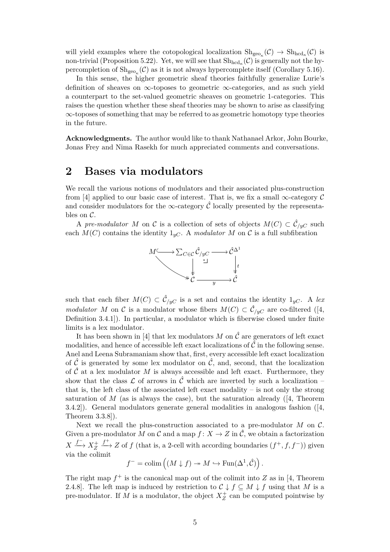will yield examples where the cotopological localization  $\mathrm{Sh}_{\mathrm{geo}_\kappa}(\mathcal{C}) \to \mathrm{Sh}_{\mathrm{hcd}_\kappa}(\mathcal{C})$  is non-trivial (Proposition [5.22\)](#page-32-0). Yet, we will see that  $\mathrm{Sh}_{\mathrm{hcd}_{\kappa}}(\mathcal{C})$  is generally not the hypercompletion of  $\mathrm{Sh}_{\mathrm{geo}_{\kappa}}(\mathcal{C})$  as it is not always hypercomplete itself (Corollary [5.16\)](#page-28-0).

In this sense, the higher geometric sheaf theories faithfully generalize Lurie's definition of sheaves on  $\infty$ -toposes to geometric  $\infty$ -categories, and as such yield a counterpart to the set-valued geometric sheaves on geometric 1-categories. This raises the question whether these sheaf theories may be shown to arise as classifying ∞-toposes of something that may be referred to as geometric homotopy type theories in the future.

**Acknowledgments.** The author would like to thank Nathanael Arkor, John Bourke, Jonas Frey and Nima Rasekh for much appreciated comments and conversations.

### <span id="page-4-0"></span>**2 Bases via modulators**

We recall the various notions of modulators and their associated plus-construction from [\[4\]](#page-35-7) applied to our basic case of interest. That is, we fix a small  $\infty$ -category C and consider modulators for the  $\infty$ -category  $\hat{\mathcal{C}}$  locally presented by the representables on C.

A *pre-modulator M* on C is a collection of sets of objects  $M(C) \subset \hat{C}_{/yC}$  such each  $M(C)$  contains the identity  $1_{yC}$ . A *modulator* M on C is a full subfibration



such that each fiber  $M(C) \subset \hat{C}_{/yC}$  is a set and contains the identity  $1_{yC}$ . A *lex modulator M* on C is a modulator whose fibers  $M(C) \subset \hat{C}_{/yC}$  are co-filtered ([\[4,](#page-35-7) Definition 3.4.1]). In particular, a modulator which is fiberwise closed under finite limits is a lex modulator.

It has been shown in [\[4\]](#page-35-7) that lex modulators *M* on  $\hat{\mathcal{C}}$  are generators of left exact modalities, and hence of accessible left exact localizations of  $\hat{\mathcal{C}}$  in the following sense. Anel and Leena Subramaniam show that, first, every accessible left exact localization of  $\hat{\mathcal{C}}$  is generated by some lex modulator on  $\hat{\mathcal{C}}$ , and, second, that the localization of  $\hat{\mathcal{C}}$  at a lex modulator M is always accessible and left exact. Furthermore, they show that the class  $\mathcal L$  of arrows in  $\hat C$  which are inverted by such a localization – that is, the left class of the associated left exact modality – is not only the strong saturation of  $M$  (as is always the case), but the saturation already ([\[4,](#page-35-7) Theorem 3.4.2]). General modulators generate general modalities in analogous fashion ([\[4,](#page-35-7) Theorem 3.3.8]).

Next we recall the plus-construction associated to a pre-modulator *M* on C. Given a pre-modulator *M* on *C* and a map  $f: X \to Z$  in  $\hat{C}$ , we obtain a factorization  $X \xrightarrow{f^-} X_Z^+$  $f \rightarrow Z$  of *f* (that is, a 2-cell with according boundaries  $(f^+, f, f^-)$ ) given via the colimit

 $f^{-} = \operatorname{colim} \left( (M \downarrow f) \twoheadrightarrow M \hookrightarrow \operatorname{Fun}(\Delta^1, \hat{\mathcal{C}}) \right).$ 

The right map  $f^+$  is the canonical map out of the colimit into  $Z$  as in [\[4,](#page-35-7) Theorem 2.4.8]. The left map is induced by restriction to  $C \downarrow f \subseteq M \downarrow f$  using that M is a pre-modulator. If  $M$  is a modulator, the object  $X_Z^+$  can be computed pointwise by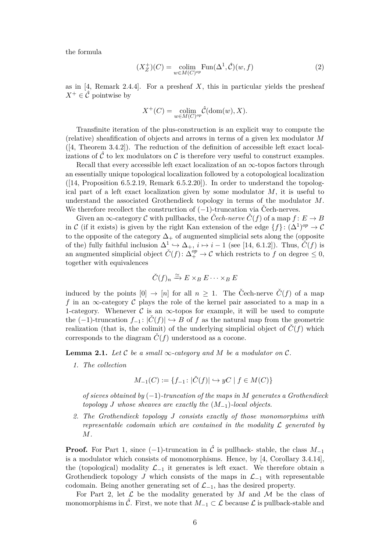the formula

$$
(X_Z^+)(C) = \underset{w \in M(C)^{op}}{\text{colim}} \text{Fun}(\Delta^1, \hat{C})(w, f) \tag{2}
$$

as in [\[4,](#page-35-7) Remark 2.4.4]. For a presheaf *X*, this in particular yields the presheaf  $X^+ \in \widehat{\mathcal{C}}$  pointwise by

$$
X^+(C) = \underset{w \in M(C)^{op}}{\text{colim}} \hat{\mathcal{C}}(\text{dom}(w), X).
$$

Transfinite iteration of the plus-construction is an explicit way to compute the (relative) sheafification of objects and arrows in terms of a given lex modulator *M*  $([4, Theorem 3.4.2])$  $([4, Theorem 3.4.2])$  $([4, Theorem 3.4.2])$ . The reduction of the definition of accessible left exact localizations of  $\tilde{\mathcal{C}}$  to lex modulators on  $\mathcal{C}$  is therefore very useful to construct examples.

Recall that every accessible left exact localization of an  $\infty$ -topos factors through an essentially unique topological localization followed by a cotopological localization  $([14, Proposition 6.5.2.19, Remark 6.5.2.20]).$  $([14, Proposition 6.5.2.19, Remark 6.5.2.20]).$  $([14, Proposition 6.5.2.19, Remark 6.5.2.20]).$  In order to understand the topological part of a left exact localization given by some modulator *M*, it is useful to understand the associated Grothendieck topology in terms of the modulator *M*. We therefore recollect the construction of  $(-1)$ -truncation via Cech-nerves.

Given an  $\infty$ -category C with pullbacks, the Cech-nerve  $\check{C}(f)$  of a map  $f: E \to B$ in C (if it exists) is given by the right Kan extension of the edge  $\{f\}$ :  $(\Delta^1)^{op} \to \mathcal{C}$ to the opposite of the category  $\Delta_+$  of augmented simplicial sets along the (opposite of the) fully faithful inclusion  $\Delta^1 \hookrightarrow \Delta_+$ ,  $i \mapsto i-1$  (see [\[14,](#page-35-6) 6.1.2]). Thus,  $\check{C}(f)$  is an augmented simplicial object  $\check{C}(f): \Delta_+^{op} \to \mathcal{C}$  which restricts to f on degree  $\leq 0$ , together with equivalences

$$
\check{C}(f)_n \xrightarrow{\simeq} E \times_B E \cdots \times_B E
$$

induced by the points  $[0] \rightarrow [n]$  for all  $n \geq 1$ . The Čech-nerve  $\check{C}(f)$  of a map *f* in an  $\infty$ -category C plays the role of the kernel pair associated to a map in a 1-category. Whenever  $\mathcal C$  is an  $\infty$ -topos for example, it will be used to compute the  $(-1)$ -truncation  $f_{-1}: |\dot{C}(f)| \hookrightarrow B$  of f as the natural map from the geometric realization (that is, the colimit) of the underlying simplicial object of  $\check{C}(f)$  which corresponds to the diagram  $\dot{C}(f)$  understood as a cocone.

<span id="page-5-0"></span>**Lemma 2.1.** *Let*  $\mathcal C$  *be a small*  $\infty$ *-category and*  $M$  *be a modulator on*  $\mathcal C$ *.* 

*1. The collection*

$$
M_{-1}(C) := \{ f_{-1} \colon |\check{C}(f)| \hookrightarrow yC \mid f \in M(C) \}
$$

*of sieves obtained by* (−1)*-truncation of the maps in M generates a Grothendieck topology J whose sheaves are exactly the* (*M*−1)*-local objects.*

*2. The Grothendieck topology J consists exactly of those monomorphims with representable codomain which are contained in the modality*  $\mathcal L$  *generated by M.*

**Proof.** For Part 1, since (−1)-truncation in  $\hat{\mathcal{C}}$  is pullback- stable, the class  $M_{-1}$ is a modulator which consists of monomorphisms. Hence, by  $[4,$  Corollary 3.4.14], the (topological) modality  $\mathcal{L}_{-1}$  it generates is left exact. We therefore obtain a Grothendieck topology *J* which consists of the maps in  $\mathcal{L}_{-1}$  with representable codomain. Being another generating set of  $\mathcal{L}_{-1}$ , has the desired property.

For Part 2, let  $\mathcal L$  be the modality generated by M and M be the class of monomorphisms in  $\hat{\mathcal{C}}$ . First, we note that  $M_{-1} \subset \mathcal{L}$  because  $\mathcal{L}$  is pullback-stable and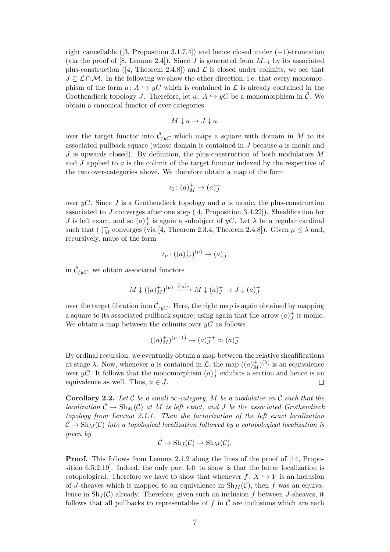right cancellable ([\[3,](#page-35-8) Proposition 3.1.7.4]) and hence closed under  $(-1)$ -truncation (via the proof of [\[8,](#page-35-9) Lemma 2.4]). Since *J* is generated from *M*−<sup>1</sup> by its associated plus-construction ([\[4,](#page-35-7) Theorem 2.4.8]) and  $\mathcal L$  is closed under colimits, we see that  $J \subseteq \mathcal{L} \cap \mathcal{M}$ . In the following we show the other direction, i.e. that every monomorphism of the form  $a: A \hookrightarrow yC$  which is contained in L is already contained in the Grothendieck topology *J*. Therefore, let  $a: A \hookrightarrow yC$  be a monomorphism in  $\hat{\mathcal{C}}$ . We obtain a canonical functor of over-categories

$$
M \downarrow a \to J \downarrow a,
$$

over the target functor into  $\hat{\mathcal{C}}_{/yC}$  which maps a square with domain in *M* to its associated pullback square (whose domain is contained in *J* because *a* is monic and *J* is upwards closed). By definition, the plus-construction of both modulators *M* and *J* applied to *a* is the colimit of the target functor indexed by the respective of the two over-categories above. We therefore obtain a map of the form

$$
\iota_1\colon (a)^+_M\to (a)^+_J
$$

over *yC*. Since *J* is a Grothendieck topology and *a* is monic, the plus-construction associated to *J* converges after one step ([\[4,](#page-35-7) Proposition 3.4.22]). Sheafification for *J* is left exact, and so  $(a)^{+}_{J}$  is again a subobject of *yC*. Let  $\lambda$  be a regular cardinal such that  $(\cdot)^{+}_{M}$  converges (via [\[4,](#page-35-7) Theorem 2.3.4, Theorem 2.4.8]). Given  $\mu \leq \lambda$  and, recursively, maps of the form

$$
\iota_{\mu} \colon ((a)^{+}_{M})^{(\mu)} \to (a)^{+}_{J}
$$

in  $\hat{\mathcal{C}}_{/yC}$ , we obtain associated functors

$$
M \downarrow ((a)^{+}_{M})^{(\mu)} \xrightarrow{(\iota_{\mu})^{*}} M \downarrow (a)^{+}_{J} \to J \downarrow (a)^{+}_{J}
$$

over the target fibration into  $\hat{\mathcal{C}}_{/yC}$ . Here, the right map is again obtained by mapping a square to its associated pullback square, using again that the arrow  $(a)_J^+$  is monic. We obtain a map between the colimits over *yC* as follows.

$$
((a)_M^+)^{(\mu+1)} \to (a)_J^{++} \simeq (a)_J^+
$$

By ordinal recursion, we eventually obtain a map between the relative sheafifications at stage  $\lambda$ . Now, whenever *a* is contained in  $\mathcal{L}$ , the map  $((a)_M^{\dagger})^{(\lambda)}$  is an equivalence over *yC*. It follows that the monomorphism  $(a)^{+}_{J}$  exhibits a section and hence is an equivalence as well. Thus,  $a \in J$ .  $\Box$ 

<span id="page-6-0"></span>**Corollary 2.2.** *Let* C *be a small* ∞*-category, M be a modulator on* C *such that the localization*  $\hat{\mathcal{C}} \to Sh_M(\mathcal{C})$  *at M is left exact, and J be the associated Grothendieck topology from Lemma [2.1.](#page-5-0)1. Then the factorization of the left exact localization*  $\hat{\mathcal{C}} \to \text{Sh}_{M}(\mathcal{C})$  *into a topological localization followed by a cotopological localization is given by*

$$
\hat{\mathcal{C}} \to \mathrm{Sh}_J(\mathcal{C}) \to \mathrm{Sh}_M(\mathcal{C}).
$$

**Proof.** This follows from Lemma [2.1.](#page-5-0)2 along the lines of the proof of [\[14,](#page-35-6) Proposition 6.5.2.19]. Indeed, the only part left to show is that the latter localization is cotopological. Therefore we have to show that whenever  $f: X \hookrightarrow Y$  is an inclusion of *J*-sheaves which is mapped to an equivalence in  $\text{Sh}_M(\mathcal{C})$ , then *f* was an equivalence in  $\text{Sh}_J(\mathcal{C})$  already. Therefore, given such an inclusion f between *J*-sheaves, it follows that all pullbacks to representables of  $f$  in  $\hat{\mathcal{C}}$  are inclusions which are each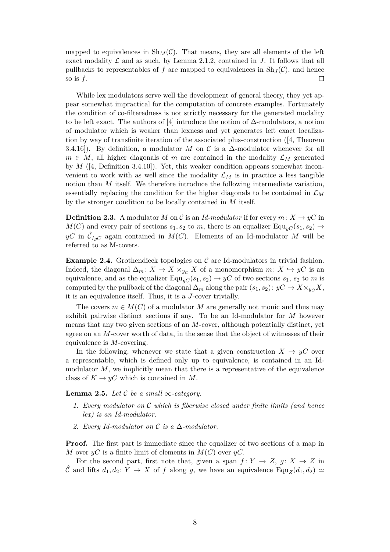mapped to equivalences in  $\text{Sh}_M(\mathcal{C})$ . That means, they are all elements of the left exact modality  $\mathcal L$  and as such, by Lemma [2.1.](#page-5-0)2, contained in  $J$ . It follows that all pullbacks to representables of *f* are mapped to equivalences in  $\text{Sh}_J(\mathcal{C})$ , and hence so is *f*.  $\Box$ 

While lex modulators serve well the development of general theory, they yet appear somewhat impractical for the computation of concrete examples. Fortunately the condition of co-filteredness is not strictly necessary for the generated modality to be left exact. The authors of [\[4\]](#page-35-7) introduce the notion of  $\Delta$ -modulators, a notion of modulator which is weaker than lexness and yet generates left exact localization by way of transfinite iteration of the associated plus-construction ([\[4,](#page-35-7) Theorem 3.4.16]). By definition, a modulator *M* on  $\mathcal C$  is a  $\Delta$ -modulator whenever for all  $m \in M$ , all higher diagonals of *m* are contained in the modality  $\mathcal{L}_M$  generated by *M* ([\[4,](#page-35-7) Definition 3.4.10]). Yet, this weaker condition appears somewhat inconvenient to work with as well since the modality  $\mathcal{L}_M$  is in practice a less tangible notion than *M* itself. We therefore introduce the following intermediate variation, essentially replacing the condition for the higher diagonals to be contained in  $\mathcal{L}_M$ by the stronger condition to be locally contained in *M* itself.

**Definition 2.3.** A modulator *M* on *C* is an *Id-modulator* if for every  $m: X \to yC$  in  $M(C)$  and every pair of sections  $s_1, s_2$  to  $m$ , there is an equalizer Equ<sub>*vC*</sub>( $s_1, s_2$ ) →  $yC$  in  $\hat{C}_{/yC}$  again contained in  $M(C)$ . Elements of an Id-modulator M will be referred to as M-covers.

**Example 2.4.** Grothendieck topologies on C are Id-modulators in trivial fashion. Indeed, the diagonal  $\Delta_m: X \to X \times_{y \in X} X$  of a monomorphism  $m: X \hookrightarrow yC$  is an equivalence, and as the equalizer  $\text{Equ}_{yC}(s_1, s_2) \rightarrow yC$  of two sections  $s_1, s_2$  to *m* is computed by the pullback of the diagonal  $\Delta_m$  along the pair  $(s_1, s_2): yC \to X \times_{yC} X$ , it is an equivalence itself. Thus, it is a *J*-cover trivially.

The covers  $m \in M(C)$  of a modulator M are generally not monic and thus may exhibit pairwise distinct sections if any. To be an Id-modulator for *M* however means that any two given sections of an *M*-cover, although potentially distinct, yet agree on an *M*-cover worth of data, in the sense that the object of witnesses of their equivalence is *M*-covering.

In the following, whenever we state that a given construction  $X \to yC$  over a representable, which is defined only up to equivalence, is contained in an Idmodulator  $M$ , we implicitly mean that there is a representative of the equivalence class of  $K \to yC$  which is contained in M.

<span id="page-7-0"></span>**Lemma 2.5.** *Let*  $\mathcal{C}$  *be a small*  $\infty$ *-category.* 

- *1. Every modulator on* C *which is fiberwise closed under finite limits (and hence lex) is an Id-modulator.*
- *2. Every Id-modulator on* C *is a* ∆*-modulator.*

**Proof.** The first part is immediate since the equalizer of two sections of a map in *M* over  $yC$  is a finite limit of elements in  $M(C)$  over  $yC$ .

For the second part, first note that, given a span  $f: Y \to Z$ ,  $g: X \to Z$  in  $\hat{\mathcal{C}}$  and lifts  $d_1, d_2 \colon Y \to X$  of f along g, we have an equivalence Equ<sub>Z</sub> $(d_1, d_2) \simeq$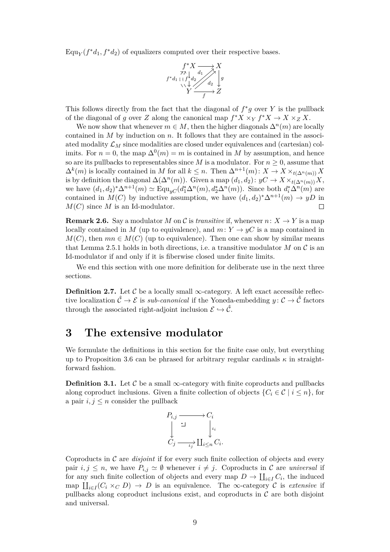$\text{Equ}_{Y}(f^*d_1, f^*d_2)$  of equalizers computed over their respective bases.



This follows directly from the fact that the diagonal of  $f^*g$  over  $Y$  is the pullback of the diagonal of *g* over *Z* along the canonical map  $f^*X \times_Y f^*X \to X \times_Z X$ .

We now show that whenever  $m \in M$ , then the higher diagonals  $\Delta^n(m)$  are locally contained in *M* by induction on *n*. It follows that they are contained in the associated modality  $\mathcal{L}_M$  since modalities are closed under equivalences and (cartesian) colimits. For  $n = 0$ , the map  $\Delta^{0}(m) = m$  is contained in *M* by assumption, and hence so are its pullbacks to representables since *M* is a modulator. For  $n \geq 0$ , assume that  $\Delta^k(m)$  is locally contained in *M* for all  $k \leq n$ . Then  $\Delta^{n+1}(m)$ :  $X \to X \times_{t(\Delta^n(m))} X$ is by definition the diagonal  $\Delta(\Delta^n(m))$ . Given a map  $(d_1, d_2): yC \to X \times_{t(\Delta^n(m))} X$ , we have  $(d_1, d_2)^* \Delta^{n+1}(m) \simeq \text{Equ}_{yC}(d_1^* \Delta^n(m), d_2^* \Delta^n(m))$ . Since both  $d_i^* \Delta^n(m)$  are contained in  $M(C)$  by inductive assumption, we have  $(d_1, d_2)^* \Delta^{n+1}(m) \to yD$  in  $M(C)$  since M is an Id-modulator.  $\Box$ 

<span id="page-8-1"></span>**Remark 2.6.** Say a modulator *M* on *C* is *transitive* if, whenever  $n: X \to Y$  is a map locally contained in *M* (up to equivalence), and  $m: Y \rightarrow yC$  is a map contained in  $M(C)$ , then  $mn \in M(C)$  (up to equivalence). Then one can show by similar means that Lemma [2.5.](#page-7-0)1 holds in both directions, i.e. a transitive modulator  $M$  on  $\mathcal C$  is an Id-modulator if and only if it is fiberwise closed under finite limits.

We end this section with one more definition for deliberate use in the next three sections.

**Definition 2.7.** Let  $\mathcal{C}$  be a locally small  $\infty$ -category. A left exact accessible reflective localization  $\hat{\mathcal{C}} \to \mathcal{E}$  is *sub-canonical* if the Yoneda-embedding  $y : \mathcal{C} \to \hat{\mathcal{C}}$  factors through the associated right-adjoint inclusion  $\mathcal{E} \hookrightarrow \hat{\mathcal{C}}$ .

#### <span id="page-8-0"></span>**3 The extensive modulator**

We formulate the definitions in this section for the finite case only, but everything up to Proposition [3.6](#page-10-0) can be phrased for arbitrary regular cardinals  $\kappa$  in straightforward fashion.

**Definition 3.1.** Let  $\mathcal{C}$  be a small  $\infty$ -category with finite coproducts and pullbacks along coproduct inclusions. Given a finite collection of objects  $\{C_i \in \mathcal{C} \mid i \leq n\}$ , for a pair  $i, j \leq n$  consider the pullback



Coproducts in C are *disjoint* if for every such finite collection of objects and every pair  $i, j \leq n$ , we have  $P_{i,j} \simeq \emptyset$  whenever  $i \neq j$ . Coproducts in C are *universal* if for any such finite collection of objects and every map  $D \to \coprod_{i \in I} C_i$ , the induced map  $\prod_{i \in I} (C_i \times_C D) \to D$  is an equivalence. The  $\infty$ -category C is *extensive* if pullbacks along coproduct inclusions exist, and coproducts in  $\mathcal C$  are both disjoint and universal.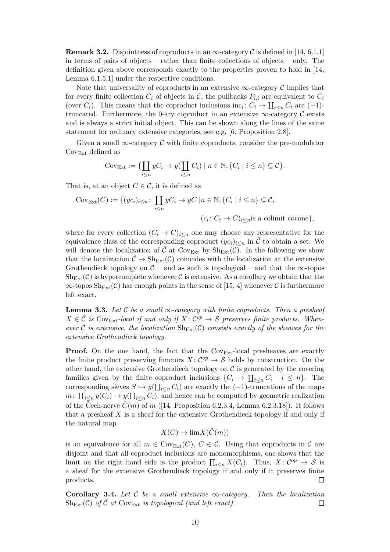**Remark 3.2.** Disjointness of coproducts in an  $\infty$ -category C is defined in [\[14,](#page-35-6) 6.1.1] in terms of pairs of objects – rather than finite collections of objects – only. The definition given above corresponds exactly to the properties proven to hold in [\[14,](#page-35-6) Lemma 6.1.5.1] under the respective conditions.

Note that universality of coproducts in an extensive  $\infty$ -category C implies that for every finite collection  $C_i$  of objects in  $C$ , the pullbacks  $P_{i,i}$  are equivalent to  $C_i$ (over  $C_i$ ). This means that the coproduct inclusions inc<sub>*i*</sub>:  $C_i \rightarrow \coprod_{i \leq n} C_i$  are  $(-1)$ truncated. Furthermore, the 0-ary coproduct in an extensive  $\infty$ -category C exists and is always a strict initial object. This can be shown along the lines of the same statement for ordinary extensive categories, see e.g. [\[6,](#page-35-10) Proposition 2.8].

Given a small  $\infty$ -category C with finite coproducts, consider the pre-modulator  $Cov_{Ext}$  defined as

$$
Cov_{\text{Ext}} := \{ \coprod_{i \leq n} yC_i \to y(\coprod_{i \leq n} C_i) \mid n \in \mathbb{N}, \{C_i \mid i \leq n\} \subseteq \mathcal{C} \}.
$$

That is, at an object  $C \in \mathcal{C}$ , it is defined as

$$
Cov_{Ext}(C) := \{ (yc_i)_{i \le n} \colon \coprod_{i \le n} yC_i \to yC \mid n \in \mathbb{N}, \{C_i \mid i \le n\} \subseteq C,
$$
  

$$
(c_i : C_i \to C)_{i \le n} \text{ is a colimit cocone} \},
$$

where for every collection  $(C_i \to C)_{i \leq n}$  one may choose any representative for the equivalence class of the corresponding coproduct  $(yc_i)_{i \leq n}$  in  $\hat{\mathcal{C}}$  to obtain a set. We will denote the localization of  $\hat{\mathcal{C}}$  at Cov<sub>Ext</sub> by  $\text{Sh}_{\text{Ext}}(\mathcal{C})$ . In the following we show that the localization  $\hat{\mathcal{C}} \to \mathrm{Sh}_{\mathrm{Ext}}(\mathcal{C})$  coincides with the localization at the extensive Grothendieck topology on  $\mathcal{C}$  – and as such is topological – and that the  $\infty$ -topos  $\mathrm{Sh}_{\mathrm{Ext}}(\mathcal{C})$  is hypercomplete whenever  $\mathcal{C}$  is extensive. As a corollary we obtain that the  $\infty$ -topos  $\text{Sh}_{\text{Ext}}(\mathcal{C})$  has enough points in the sense of [\[15,](#page-35-11) 4] whenever  $\mathcal{C}$  is furthermore left exact.

<span id="page-9-0"></span>**Lemma 3.3.** *Let* C *be a small*  $\infty$ *-category with finite coproducts. Then a presheaf*  $X \in \hat{\mathcal{C}}$  *is* Cov<sub>Ext</sub>-local if and only if  $X : C^{op} \to \mathcal{S}$  preserves finite products. When*ever* C *is extensive, the localization*  $\text{Sh}_{\text{Ext}}(\mathcal{C})$  *consists exactly of the sheaves for the extensive Grothendieck topology.*

**Proof.** On the one hand, the fact that the Cov<sub>Ext</sub>-local presheaves are exactly the finite product preserving functors  $X: \mathcal{C}^{op} \to \mathcal{S}$  holds by construction. On the other hand, the extensive Grothendieck topology on  $\mathcal C$  is generated by the covering families given by the finite coproduct inclusions  $\{C_i \to \prod_{i \leq n} C_i \mid i \leq n\}$ . The corresponding sieves  $S \hookrightarrow y(\coprod_{i\leq n} C_i)$  are exactly the (-1)-truncations of the maps  $m: \coprod_{i\leq n} y(C_i) \to y(\coprod_{i\leq n} C_i)$ , and hence can be computed by geometric realization of the Čech-nerve  $\check{C}(m)$  of *m* ([\[14,](#page-35-6) Proposition 6.2.3.4, Lemma 6.2.3.18]). It follows that a presheaf *X* is a sheaf for the extensive Grothendieck topology if and only if the natural map

$$
X(C) \to \lim X(\hat{C}(m))
$$

is an equivalence for all  $m \in \text{Cov}_{Ext}(C)$ ,  $C \in \mathcal{C}$ . Using that coproducts in  $\mathcal{C}$  are disjoint and that all coproduct inclusions are monomorphisms, one shows that the limit on the right hand side is the product  $\prod_{i\leq n} X(C_i)$ . Thus,  $X: C^{op} \to S$  is a sheaf for the extensive Grothendieck topology if and only if it preserves finite products.

**Corollary 3.4.** *Let* C *be a small extensive* ∞*-category. Then the localization*  $Sh_{Fxt}(\mathcal{C})$  *of*  $\hat{\mathcal{C}}$  *at*  $Cov_{Ext}$  *is topological (and left exact).*  $\Box$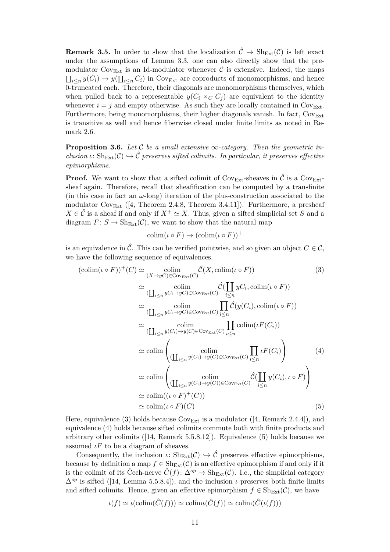**Remark 3.5.** In order to show that the localization  $\hat{\mathcal{C}} \to \text{Sh}_{\text{Ext}}(\mathcal{C})$  is left exact under the assumptions of Lemma [3.3,](#page-9-0) one can also directly show that the premodulator Cov<sub>Ext</sub> is an Id-modulator whenever C is extensive. Indeed, the maps  $\prod_{i \leq n} y(C_i) \to y(\prod_{i \leq n} C_i)$  in Cov<sub>Ext</sub> are coproducts of monomorphisms, and hence 0-truncated each. Therefore, their diagonals are monomorphisms themselves, which when pulled back to a representable  $y(C_i \times_C C_j)$  are equivalent to the identity whenever  $i = j$  and empty otherwise. As such they are locally contained in  $Cov_{Ext}$ . Furthermore, being monomorphisms, their higher diagonals vanish. In fact,  $Cov_{Ext}$ is transitive as well and hence fiberwise closed under finite limits as noted in Remark [2.6.](#page-8-1)

<span id="page-10-0"></span>**Proposition 3.6.** Let C be a small extensive  $\infty$ -category. Then the geometric in $clusion \iota: Sh_{Ext}(\mathcal{C}) \hookrightarrow \hat{\mathcal{C}}$  preserves sifted colimits. In particular, it preserves effective *epimorphisms.*

**Proof.** We want to show that a sifted colimit of  $\text{Cov}_{\text{Ext}}$ -sheaves in  $\hat{\mathcal{C}}$  is a  $\text{Cov}_{\text{Ext}}$ sheaf again. Therefore, recall that sheafification can be computed by a transfinite (in this case in fact an  $\omega$ -long) iteration of the plus-construction associated to the modulator  $\text{Cov}_{\text{Ext}}$  ([\[4,](#page-35-7) Theorem 2.4.8, Theorem 3.4.11]). Furthermore, a presheaf  $X \in \hat{\mathcal{C}}$  is a sheaf if and only if  $X^+ \simeq X$ . Thus, given a sifted simplicial set *S* and a diagram  $F: S \to Sh_{Ext}(\mathcal{C})$ , we want to show that the natural map

<span id="page-10-2"></span><span id="page-10-1"></span>
$$
\mathrm{colim}(\iota \circ F) \to (\mathrm{colim}(\iota \circ F))^+
$$

is an equivalence in  $\hat{\mathcal{C}}$ . This can be verified pointwise, and so given an object  $C \in \mathcal{C}$ , we have the following sequence of equivalences.

$$
(\text{colim}(\iota \circ F))^+(C) \simeq \underset{(X \to yC) \in \text{Cov}_{\text{Ext}}(C)}{\text{colim}} \hat{\mathcal{C}}(X, \text{colim}(\iota \circ F))
$$
(3)  

$$
\simeq \underset{(L_{i \leq n} yC_i \to yC) \in \text{Cov}_{\text{Ext}}(C)}{\text{colim}} \hat{\mathcal{C}}(\coprod_{i \leq n} yC_i, \text{colim}(\iota \circ F))
$$
  

$$
\simeq \underset{(L_{i \leq n} yC_i \to yC) \in \text{Cov}_{\text{Ext}}(C)}{\text{colim}} \underset{i \leq n}{\overbrace{\prod_{i \leq n} \hat{\mathcal{C}}(y(C_i), \text{colim}(\iota \circ F))}}{\text{colim}} \newline \simeq \underset{(L_{i \leq n} y(C_i) \to y(C) \in \text{Cov}_{\text{Ext}}(C)}{\text{colim}} \underset{i \leq n}{\overbrace{\prod_{i \leq n} \hat{\mathcal{C}}(y(C_i))}}
$$
(4)  

$$
\simeq \underset{(L_{i \leq n} y(C_i) \to y(C) \in \text{Cov}_{\text{Ext}}(C)}{\text{colim}} \underset{i \leq n}{\overbrace{\prod_{i \leq n} \iota F(C_i)}} \newline \simeq \underset{(L_{i \leq n} y(C_i) \to y(C) \in \text{Cov}_{\text{Ext}}(C)}{\text{colim}} \hat{\mathcal{C}}(\coprod_{i \leq n} y(C_i), \iota \circ F)
$$
  

$$
\simeq \underset{(L_{i \leq n} y(C_i) \to y(C)) \in \text{Cov}_{\text{Ext}}(C)}{\text{colim}} \newline (\iota \circ F)^+(C)
$$
(5)

Here, equivalence [\(3\)](#page-10-1) holds because  $\text{Cov}_{\text{Ext}}$  is a modulator ([\[4,](#page-35-7) Remark 2.4.4]), and equivalence [\(4\)](#page-10-2) holds because sifted colimits commute both with finite products and arbitrary other colimits ([\[14,](#page-35-6) Remark 5.5.8.12]). Equivalence [\(5\)](#page-10-3) holds because we assumed  $\iota F$  to be a diagram of sheaves.

Consequently, the inclusion  $\iota: Sh_{Ext}(\mathcal{C}) \hookrightarrow \hat{\mathcal{C}}$  preserves effective epimorphisms, because by definition a map  $f \in Sh_{Ext}(\mathcal{C})$  is an effective epimorphism if and only if it is the colimit of its Cech-nerve  $\check{C}(f)$ :  $\Delta^{op} \to Sh_{Ext}(\mathcal{C})$ . I.e., the simplicial category  $\Delta^{op}$  is sifted ([\[14,](#page-35-6) Lemma 5.5.8.4]), and the inclusion *ι* preserves both finite limits and sifted colimits. Hence, given an effective epimorphism  $f \in Sh_{Ext}(\mathcal{C})$ , we have

<span id="page-10-3"></span>
$$
\iota(f) \simeq \iota(\mathrm{colim}(\hat{C}(f))) \simeq \mathrm{colim} \iota(\hat{C}(f)) \simeq \mathrm{colim}(\hat{C}(\iota(f)))
$$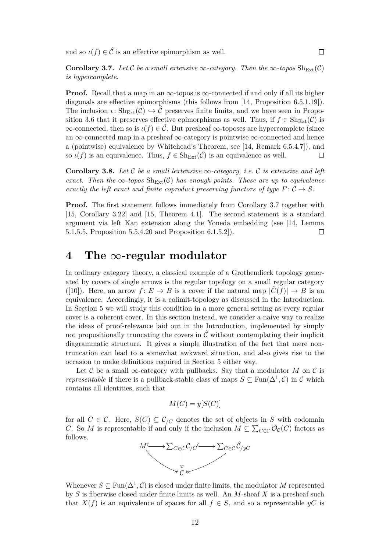and so  $\iota(f) \in \hat{\mathcal{C}}$  is an effective epimorphism as well.

<span id="page-11-0"></span>**Corollary 3.7.** *Let* C *be a small extensive*  $\infty$ *-category. Then the*  $\infty$ *-topos*  $\text{Sh}_{\text{Ext}}(\mathcal{C})$ *is hypercomplete.*

**Proof.** Recall that a map in an  $\infty$ -topos is  $\infty$ -connected if and only if all its higher diagonals are effective epimorphisms (this follows from [\[14,](#page-35-6) Proposition 6.5.1.19]). The inclusion  $\iota: Sh_{Ext}(\mathcal{C}) \hookrightarrow \hat{\mathcal{C}}$  preserves finite limits, and we have seen in Propo-sition [3.6](#page-10-0) that it preserves effective epimorphisms as well. Thus, if  $f \in Sh_{Ext}(\mathcal{C})$  is  $\infty$ -connected, then so is  $\iota(f) \in \hat{\mathcal{C}}$ . But presheaf  $\infty$ -toposes are hypercomplete (since an  $\infty$ -connected map in a presheaf  $\infty$ -category is pointwise  $\infty$ -connected and hence a (pointwise) equivalence by Whitehead's Theorem, see [\[14,](#page-35-6) Remark 6.5.4.7]), and so  $\iota(f)$  is an equivalence. Thus,  $f \in Sh_{Ext}(\mathcal{C})$  is an equivalence as well.  $\Box$ 

<span id="page-11-1"></span>**Corollary 3.8.** Let C be a small lextensive  $\infty$ -category, i.e. C is extensive and left *exact.* Then the  $\infty$ -topos  $\text{Sh}_{\text{Ext}}(\mathcal{C})$  has enough points. These are up to equivalence *exactly the left exact and finite coproduct preserving functors of type*  $F: \mathcal{C} \to \mathcal{S}$ .

**Proof.** The first statement follows immediately from Corollary [3.7](#page-11-0) together with [\[15,](#page-35-11) Corollary 3.22] and [\[15,](#page-35-11) Theorem 4.1]. The second statement is a standard argument via left Kan extension along the Yoneda embedding (see [\[14,](#page-35-6) Lemma 5.1.5.5, Proposition 5.5.4.20 and Proposition 6.1.5.2]).  $\Box$ 

## <span id="page-11-2"></span>**4 The** ∞**-regular modulator**

In ordinary category theory, a classical example of a Grothendieck topology generated by covers of single arrows is the regular topology on a small regular category ([\[10\]](#page-35-12)). Here, an arrow  $f: E \to B$  is a cover if the natural map  $|\check{C}(f)| \to B$  is an equivalence. Accordingly, it is a colimit-topology as discussed in the Introduction. In Section [5](#page-14-0) we will study this condition in a more general setting as every regular cover is a coherent cover. In this section instead, we consider a naive way to realize the ideas of proof-relevance laid out in the Introduction, implemented by simply not propositionally truncating the covers in  $\hat{\mathcal{C}}$  without contemplating their implicit diagrammatic structure. It gives a simple illustration of the fact that mere nontruncation can lead to a somewhat awkward situation, and also gives rise to the occasion to make definitions required in Section [5](#page-14-0) either way.

Let C be a small  $\infty$ -category with pullbacks. Say that a modulator M on C is *representable* if there is a pullback-stable class of maps  $S \subseteq \text{Fun}(\Delta^1, \mathcal{C})$  in  $\mathcal C$  which contains all identities, such that

$$
M(C) = y[S(C)]
$$

for all  $C \in \mathcal{C}$ . Here,  $S(C) \subseteq \mathcal{C}_{\mathcal{C}}$  denotes the set of objects in *S* with codomain *C*. So *M* is representable if and only if the inclusion  $M \subseteq \sum_{C \in \mathcal{C}} \mathcal{O}_{\mathcal{C}}(C)$  factors as follows.



Whenever  $S \subseteq \text{Fun}(\Delta^1, \mathcal{C})$  is closed under finite limits, the modulator M represented by *S* is fiberwise closed under finite limits as well. An *M*-sheaf *X* is a presheaf such that  $X(f)$  is an equivalence of spaces for all  $f \in S$ , and so a representable  $yC$  is

12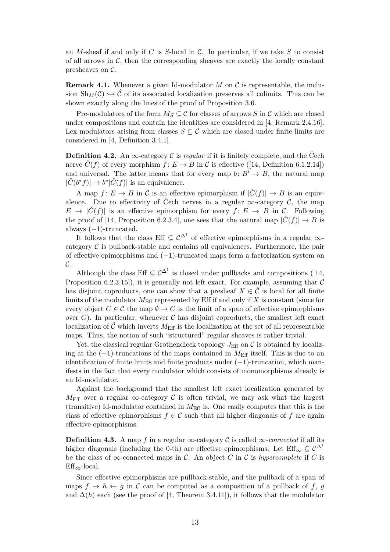an *M*-sheaf if and only if *C* is *S*-local in C. In particular, if we take *S* to consist of all arrows in  $C$ , then the corresponding sheaves are exactly the locally constant presheaves on C.

<span id="page-12-0"></span>**Remark 4.1.** Whenever a given Id-modulator  $M$  on  $\mathcal C$  is representable, the inclusion  $\text{Sh}_{M}(\mathcal{C}) \hookrightarrow \hat{\mathcal{C}}$  of its associated localization preserves all colimits. This can be shown exactly along the lines of the proof of Proposition [3.6.](#page-10-0)

Pre-modulators of the form  $M_S \subseteq \mathcal{C}$  for classes of arrows *S* in  $\mathcal{C}$  which are closed under compositions and contain the identities are considered in [\[4,](#page-35-7) Remark 2.4.16]. Lex modulators arising from classes  $S \subseteq \mathcal{C}$  which are closed under finite limits are considered in [\[4,](#page-35-7) Definition 3.4.1].

**Definition 4.2.** An  $\infty$ -category C is *regular* if it is finitely complete, and the Cech nerve  $\check{C}(f)$  of every morphism  $f: E \to B$  in C is effective ([\[14,](#page-35-6) Definition 6.1.2.14]) and universal. The latter means that for every map  $b: B' \to B$ , the natural map  $|\check{C}(b^*f)| \to b^*|\check{C}(f)|$  is an equivalence.

A map  $f: E \to B$  in C is an effective epimorphism if  $|\check{C}(f)| \to B$  is an equivalence. Due to effectivity of Čech nerves in a regular  $\infty$ -category C, the map  $E \to |\check{C}(f)|$  is an effective epimorphism for every  $f: E \to B$  in C. Following the proof of [\[14,](#page-35-6) Proposition 6.2.3.4], one sees that the natural map  $|\check{C}(f)| \to B$  is always  $(-1)$ -truncated.

It follows that the class Eff  $\subseteq \mathcal{C}^{\Delta^1}$  of effective epimorphisms in a regular  $\infty$ category  $\mathcal C$  is pullback-stable and contains all equivalences. Furthermore, the pair of effective epimorphisms and (−1)-truncated maps form a factorization system on  $\mathcal{C}.$ 

Although the class Eff  $\subseteq \mathcal{C}^{\Delta^1}$  is closed under pullbacks and compositions ([\[14,](#page-35-6) Proposition 6.2.3.15]), it is generally not left exact. For example, assuming that  $\mathcal C$ has disjoint coproducts, one can show that a presheaf  $X \in \hat{\mathcal{C}}$  is local for all finite limits of the modulator  $M_{\text{Eff}}$  represented by Eff if and only if X is constant (since for every object  $C \in \mathcal{C}$  the map  $\emptyset \to C$  is the limit of a span of effective epimorphisms over  $C$ ). In particular, whenever  $C$  has disjoint coproducts, the smallest left exact localization of  $\hat{\mathcal{C}}$  which inverts  $M_{\text{Eff}}$  is the localization at the set of all representable maps. Thus, the notion of such "structured" regular sheaves is rather trivial.

Yet, the classical regular Grothendieck topology  $J_{\text{Eff}}$  on C is obtained by localizing at the  $(-1)$ -truncations of the maps contained in  $M_{\text{Eff}}$  itself. This is due to an identification of finite limits and finite products under  $(-1)$ -truncation, which manifests in the fact that every modulator which consists of monomorphisms already is an Id-modulator.

Against the background that the smallest left exact localization generated by  $M_{\text{Eff}}$  over a regular  $\infty$ -category C is often trivial, we may ask what the largest (transitive) Id-modulator contained in  $M_{\text{Eff}}$  is. One easily computes that this is the class of effective epimorphisms  $f \in \mathcal{C}$  such that all higher diagonals of f are again effective epimorphisms.

**Definition 4.3.** A map *f* in a regular ∞-category  $\mathcal{C}$  is called ∞*-connected* if all its higher diagonals (including the 0-th) are effective epimorphisms. Let  $\mathrm{Eff}_{\infty} \subset \mathcal{C}^{\Delta^1}$ be the class of  $\infty$ -connected maps in C. An object C in C is *hypercomplete* if C is  $Eff_{\infty}$ -local.

Since effective epimorphisms are pullback-stable, and the pullback of a span of maps  $f \to h \leftarrow g$  in C can be computed as a composition of a pullback of f, g and  $\Delta(h)$  each (see the proof of [\[4,](#page-35-7) Theorem 3.4.11]), it follows that the modulator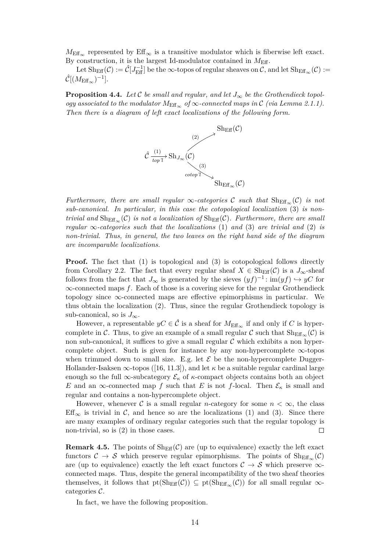$M_{\text{Eff}_{\infty}}$  represented by  $\text{Eff}_{\infty}$  is a transitive modulator which is fiberwise left exact. By construction, it is the largest Id-modulator contained in  $M_{\text{Eff}}$ .

Let  $\mathrm{Sh}_{\mathrm{Eff}}(\mathcal{C}):=\hat{\mathcal{C}}[J_{\mathrm{Eff}}^{-1}]$  be the  $\infty$ -topos of regular sheaves on  $\mathcal{C},$  and let  $\mathrm{Sh}_{\mathrm{Eff}_{\infty}}(\mathcal{C}):=$  $\hat{\mathcal{C}}[(M_{\rm Eff_\infty})^{-1}].$ 

<span id="page-13-0"></span>**Proposition 4.4.** *Let*  $\mathcal{C}$  *be small and regular, and let*  $J_{\infty}$  *be the Grothendieck topology associated to the modulator*  $M_{\text{Eff}}$  *of*  $\infty$ *-connected maps in*  $\mathcal{C}$  *(via Lemma [2.1.](#page-5-0)1). Then there is a diagram of left exact localizations of the following form.*



*Furthermore, there are small regular*  $\infty$ *-categories* C *such that*  $\text{Sh}_{\text{Eff}_{\infty}}(\mathcal{C})$  *is not sub-canonical. In particular, in this case the cotopological localization* (3) *is nontrivial and*  $\text{Sh}_{\text{Eff}_{\infty}}(\mathcal{C})$  *is not a localization of*  $\text{Sh}_{\text{Eff}}(\mathcal{C})$ *. Furthermore, there are small regular*  $\infty$ -*categories such that the localizations* (1) *and* (3) *are trivial and* (2) *is non-trivial. Thus, in general, the two leaves on the right hand side of the diagram are incomparable localizations.*

**Proof.** The fact that (1) is topological and (3) is cotopological follows directly from Corollary [2.2.](#page-6-0) The fact that every regular sheaf  $X \in \text{Sh}_{\text{Eff}}(\mathcal{C})$  is a  $J_{\infty}$ -sheaf follows from the fact that  $J_{\infty}$  is generated by the sieves  $(yf)^{-1}$ : im $(yf) \hookrightarrow yC$  for ∞-connected maps *f*. Each of those is a covering sieve for the regular Grothendieck topology since  $\infty$ -connected maps are effective epimorphisms in particular. We thus obtain the localization (2). Thus, since the regular Grothendieck topology is sub-canonical, so is  $J_{\infty}$ .

However, a representable  $yC \in \hat{\mathcal{C}}$  is a sheaf for  $M_{\text{Eff}_{\infty}}$  if and only if *C* is hypercomplete in C. Thus, to give an example of a small regular C such that  $\text{Sh}_{\text{Eff}_{\infty}}(\mathcal{C})$  is non sub-canonical, it suffices to give a small regular  $C$  which exhibits a non hypercomplete object. Such is given for instance by any non-hypercomplete  $\infty$ -topos when trimmed down to small size. E.g. let  $\mathcal E$  be the non-hypercomplete Dugger-Hollander-Isaksen  $\infty$ -topos ([\[16,](#page-35-13) 11.3]), and let  $\kappa$  be a suitable regular cardinal large enough so the full  $\infty$ -subcategory  $\mathcal{E}_{\kappa}$  of  $\kappa$ -compact objects contains both an object *E* and an  $\infty$ -connected map *f* such that *E* is not *f*-local. Then  $\mathcal{E}_{\kappa}$  is small and regular and contains a non-hypercomplete object.

However, whenever C is a small regular *n*-category for some  $n < \infty$ , the class Eff<sub>∞</sub> is trivial in C, and hence so are the localizations (1) and (3). Since there are many examples of ordinary regular categories such that the regular topology is non-trivial, so is (2) in those cases.  $\Box$ 

<span id="page-13-1"></span>**Remark 4.5.** The points of  $\text{Sh}_{\text{Eff}}(\mathcal{C})$  are (up to equivalence) exactly the left exact functors  $C \to S$  which preserve regular epimorphisms. The points of  $\text{Sh}_{\text{Eff}_{\infty}}(\mathcal{C})$ are (up to equivalence) exactly the left exact functors  $C \rightarrow S$  which preserve  $\infty$ connected maps. Thus, despite the general incompatibility of the two sheaf theories themselves, it follows that  $pt(Sh_{Eff}(\mathcal{C})) \subseteq pt(Sh_{Eff_{\infty}}(\mathcal{C}))$  for all small regular  $\infty$ categories C.

<span id="page-13-2"></span>In fact, we have the following proposition.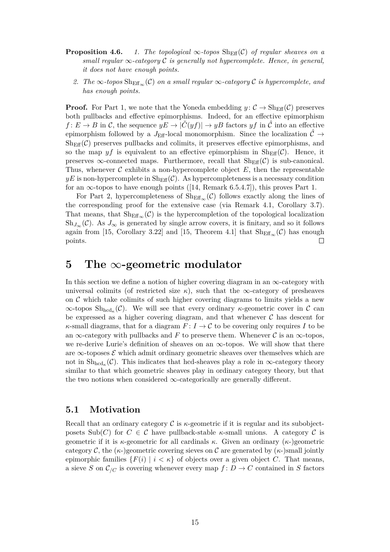- **Proposition 4.6.** *1. The topological*  $\infty$ *-topos*  $\text{Sh}_{\text{Eff}}(\mathcal{C})$  *of regular sheaves on a small regular*  $\infty$ *-category*  $\mathcal C$  *is generally not hypercomplete. Hence, in general, it does not have enough points.*
	- 2. *The* ∞*-topos*  $\text{Sh}_{\text{Eff}_{\infty}}(\mathcal{C})$  *on a small regular* ∞*-category*  $\mathcal{C}$  *is hypercomplete, and has enough points.*

**Proof.** For Part 1, we note that the Yoneda embedding  $y: \mathcal{C} \to \text{Sheff}(\mathcal{C})$  preserves both pullbacks and effective epimorphisms. Indeed, for an effective epimorphism  $f: E \to B$  in C, the sequence  $yE \to |\check{C}(yf)| \to yB$  factors  $yf$  in  $\hat{C}$  into an effective epimorphism followed by a  $J_{\text{Eff}}$ -local monomorphism. Since the localization  $\mathcal{C} \rightarrow$  $\text{Sh}_{\text{Eff}}(\mathcal{C})$  preserves pullbacks and colimits, it preserves effective epimorphisms, and so the map  $yf$  is equivalent to an effective epimorphism in  $\text{Sh}_{\text{Eff}}(\mathcal{C})$ . Hence, it preserves  $\infty$ -connected maps. Furthermore, recall that  $\text{Sh}_{\text{Eff}}(\mathcal{C})$  is sub-canonical. Thus, whenever  $\mathcal C$  exhibits a non-hypercomplete object  $E$ , then the representable  $yE$  is non-hypercomplete in  $\text{Sh}_{\text{Eff}}(\mathcal{C})$ . As hypercompleteness is a necessary condition for an  $\infty$ -topos to have enough points ([\[14,](#page-35-6) Remark 6.5.4.7]), this proves Part 1.

For Part 2, hypercompleteness of  $\mathrm{Sh}_{\mathrm{Eff}_{\infty}}(\mathcal{C})$  follows exactly along the lines of the corresponding proof for the extensive case (via Remark [4.1,](#page-12-0) Corollary [3.7\)](#page-11-0). That means, that  $\text{Sh}_{\text{Eff}_{\infty}}(\mathcal{C})$  is the hypercompletion of the topological localization  $\text{Sh}_{J_{\infty}}(\mathcal{C})$ . As  $J_{\infty}$  is generated by single arrow covers, it is finitary, and so it follows again from [\[15,](#page-35-11) Corollary 3.22] and [15, Theorem 4.1] that  $\text{Sh}_{\text{Eff}_{\infty}}(\mathcal{C})$  has enough points.  $\Box$ 

#### <span id="page-14-0"></span>**5 The** ∞**-geometric modulator**

In this section we define a notion of higher covering diagram in an  $\infty$ -category with universal colimits (of restricted size  $\kappa$ ), such that the  $\infty$ -category of presheaves on  $\mathcal C$  which take colimits of such higher covering diagrams to limits yields a new  $\infty$ -topos  $\mathrm{Sh}_{\mathrm{hcd}_{\kappa}}(\mathcal{C})$ . We will see that every ordinary *κ*-geometric cover in  $\mathcal{C}$  can be expressed as a higher covering diagram, and that whenever  $C$  has descent for *κ*-small diagrams, that for a diagram  $F: I \to \mathcal{C}$  to be covering only requires *I* to be an  $\infty$ -category with pullbacks and *F* to preserve them. Whenever *C* is an  $\infty$ -topos, we re-derive Lurie's definition of sheaves on an  $\infty$ -topos. We will show that there are  $\infty$ -toposes  $\mathcal E$  which admit ordinary geometric sheaves over themselves which are not in  $\mathrm{Sh}_{\mathrm{hcd}_{\kappa}}(\mathcal{C})$ . This indicates that hcd-sheaves play a role in  $\infty$ -category theory similar to that which geometric sheaves play in ordinary category theory, but that the two notions when considered  $\infty$ -categorically are generally different.

#### <span id="page-14-1"></span>**5.1 Motivation**

Recall that an ordinary category  $\mathcal C$  is  $\kappa$ -geometric if it is regular and its subobjectposets Sub(*C*) for  $C \in \mathcal{C}$  have pullback-stable *κ*-small unions. A category  $\mathcal{C}$  is geometric if it is *κ*-geometric for all cardinals *κ*. Given an ordinary (*κ*-)geometric category C, the  $(\kappa)$ -geometric covering sieves on C are generated by  $(\kappa)$ -small jointly epimorphic families  $\{F(i) \mid i \leq \kappa\}$  of objects over a given object *C*. That means, a sieve *S* on  $\mathcal{C}_{/C}$  is covering whenever every map  $f: D \to C$  contained in *S* factors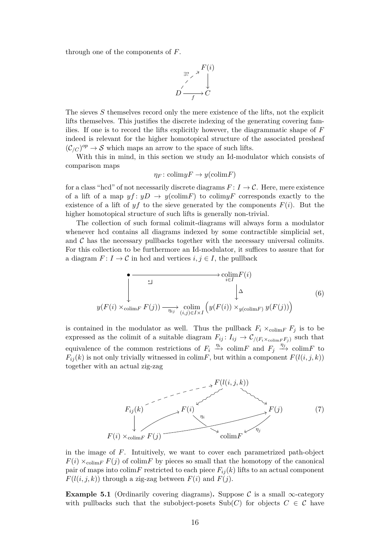through one of the components of *F*.



The sieves *S* themselves record only the mere existence of the lifts, not the explicit lifts themselves. This justifies the discrete indexing of the generating covering families. If one is to record the lifts explicitly however, the diagrammatic shape of *F* indeed is relevant for the higher homotopical structure of the associated presheaf  $(\mathcal{C}_{/C})^{op} \to \mathcal{S}$  which maps an arrow to the space of such lifts.

With this in mind, in this section we study an Id-modulator which consists of comparison maps

<span id="page-15-2"></span>
$$
\eta_F \colon \text{colim} yF \to y(\text{colim} F)
$$

for a class "hcd" of not necessarily discrete diagrams  $F: I \to \mathcal{C}$ . Here, mere existence of a lift of a map  $y f : y D \to y$  (colim*F*) to colim $y F$  corresponds exactly to the existence of a lift of  $yf$  to the sieve generated by the components  $F(i)$ . But the higher homotopical structure of such lifts is generally non-trivial.

The collection of such formal colimit-diagrams will always form a modulator whenever hcd contains all diagrams indexed by some contractible simplicial set, and  $\mathcal C$  has the necessary pullbacks together with the necessary universal colimits. For this collection to be furthermore an Id-modulator, it suffices to assure that for a diagram  $F: I \to \mathcal{C}$  in hcd and vertices  $i, j \in I$ , the pullback

$$
\begin{array}{c}\n\bullet \longrightarrow {\underset{i \in I}{\n\text{colim}(F(i))}} \\
\downarrow^{\text{colim}(F(i))} \longrightarrow \underset{(i,j) \in I \times I}{\n\text{colim}(F(i))} \left(\downarrow^{\text{colim}(F(i))} \times_{y(\text{colim}(F(i)))}\n\end{array}\n\tag{6}
$$

is contained in the modulator as well. Thus the pullback  $F_i \times_{\text{colim} F} F_j$  is to be expressed as the colimit of a suitable diagram  $F_{ij}: I_{ij} \to C_{/(F_i \times_{\text{colim} F} F_j)}$  such that equivalence of the common restrictions of  $F_i \stackrel{\eta_i}{\longrightarrow} \text{colim} F$  and  $F_j \stackrel{\eta_j}{\longrightarrow} \text{colim} F$  to  $F_{ij}(k)$  is not only trivially witnessed in colim*F*, but within a component  $F(l(i, j, k))$ together with an actual zig-zag

<span id="page-15-1"></span>

in the image of *F*. Intuitively, we want to cover each parametrized path-object  $F(i) \times_{\text{colim} F} F(j)$  of colim*F* by pieces so small that the homotopy of the canonical pair of maps into colim*F* restricted to each piece  $F_{ij}(k)$  lifts to an actual component  $F(l(i, j, k))$  through a zig-zag between  $F(i)$  and  $F(j)$ .

<span id="page-15-0"></span>**Example 5.1** (Ordinarily covering diagrams). Suppose C is a small  $\infty$ -category with pullbacks such that the subobject-posets  $\text{Sub}(C)$  for objects  $C \in \mathcal{C}$  have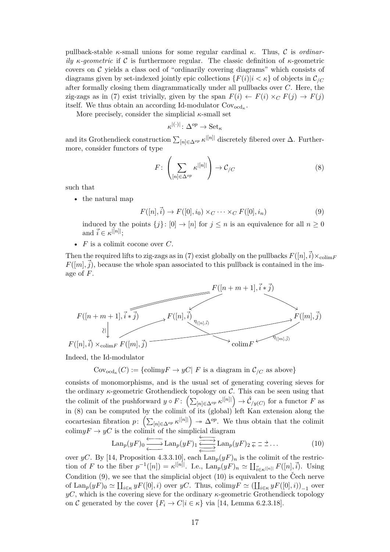pullback-stable *κ*-small unions for some regular cardinal *κ*. Thus, C is *ordinarily κ-geometric* if C is furthermore regular. The classic definition of *κ*-geometric covers on  $\mathcal C$  yields a class ocd of "ordinarily covering diagrams" which consists of diagrams given by set-indexed jointly epic collections  ${F(i)|i < \kappa}$  of objects in  $\mathcal{C}_{/C}$ after formally closing them diagrammatically under all pullbacks over *C*. Here, the zig-zags as in [\(7\)](#page-15-1) exist trivially, given by the span  $F(i) \leftarrow F(i) \times_C F(j) \rightarrow F(j)$ itself. We thus obtain an according Id-modulator Covocd*<sup>κ</sup>* .

More precisely, consider the simplicial  $\kappa$ -small set

<span id="page-16-0"></span> $\kappa^{|(\cdot)|} \colon \Delta^{op} \to \operatorname{Set}_{\kappa}$ 

and its Grothendieck construction  $\sum_{[n] \in \Delta^{op}} \kappa^{|[n]|}$  discretely fibered over  $\Delta$ . Furthermore, consider functors of type

<span id="page-16-1"></span>
$$
F: \left(\sum_{[n] \in \Delta^{op}} \kappa^{|[n]|}\right) \to \mathcal{C}_{/C} \tag{8}
$$

such that

• the natural map

$$
F([n], \vec{i}) \to F([0], i_0) \times_C \cdots \times_C F([0], i_n)
$$
\n
$$
(9)
$$

induced by the points  ${j: [0] \to [n] \text{ for } j \leq n \text{ is an equivalence for all } n \geq 0}$ and  $\vec{i} \in \kappa^{|[n]!};$ 

• *F* is a colimit cocone over *C*.

Then the required lifts to zig-zags as in [\(7\)](#page-15-1) exist globally on the pullbacks  $F([n], \vec{i}) \times_{\text{colim}F}$  $F([m], \vec{j})$ , because the whole span associated to this pullback is contained in the image of *F*.



Indeed, the Id-modulator

 $\text{Cov}_{\text{odd}_\kappa}(C) := \{ \text{colim} y F \to y C | F \text{ is a diagram in } C_{/C} \text{ as above} \}$ 

consists of monomorphisms, and is the usual set of generating covering sieves for the ordinary  $\kappa$ -geometric Grothendieck topology on C. This can be seen using that the colimit of the pushforward  $y \circ F: \left( \sum_{[n] \in \Delta^{op}} \kappa^{|[n]|} \right) \to \hat{\mathcal{C}}_{/y(C)}$  for a functor *F* as in [\(8\)](#page-16-0) can be computed by the colimit of its (global) left Kan extension along the cocartesian fibration  $p: (\sum_{[n] \in \Delta^{op}} \kappa^{|[n]|}) \rightarrow \Delta^{op}$ . We thus obtain that the colimit colim $yF \to yC$  is the colimit of the simplicial diagram

<span id="page-16-2"></span>
$$
\text{Lan}_p(yF)_0 \xleftarrow{\longleftarrow} \text{Lan}_p(yF)_1 \xleftarrow{\longleftarrow} \text{Lan}_p(yF)_2 \overline{z} = 2 \dots \tag{10}
$$

over *yC*. By [\[14,](#page-35-6) Proposition 4.3.3.10], each  $\text{Lan}_p(yF)_n$  is the colimit of the restriction of *F* to the fiber  $p^{-1}([n]) = \kappa^{|[n]|}$ . I.e.,  $\text{Lan}_p(yF)_n \simeq \coprod_{\vec{i} \in \kappa^{|[n]|}} F([n], \vec{i})$ . Using Condition  $(9)$ , we see that the simplicial object  $(10)$  is equivalent to the Cech nerve of  $\text{Lan}_p(yF)_0 \simeq \coprod_{i \in \kappa} yF([0], i)$  over  $yC$ . Thus,  $\text{colim} yF \simeq (\coprod_{i \in \kappa} yF([0], i))_{-1}$  over  $yC$ , which is the covering sieve for the ordinary  $\kappa$ -geometric Grothendieck topology on C generated by the cover  ${F_i \rightarrow C | i \in \kappa}$  via [\[14,](#page-35-6) Lemma 6.2.3.18].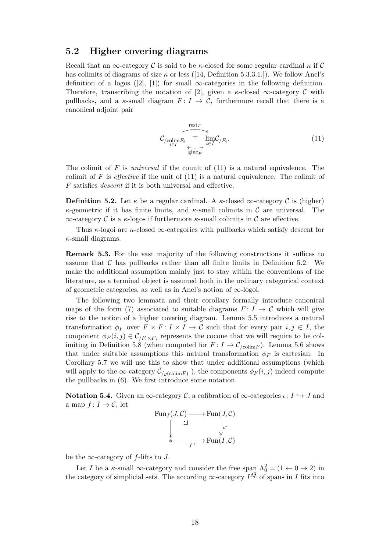#### **5.2 Higher covering diagrams**

Recall that an  $\infty$ -category C is said to be *κ*-closed for some regular cardinal  $\kappa$  if C has colimits of diagrams of size *κ* or less ([\[14,](#page-35-6) Definition 5.3.3.1.]). We follow Anel's definition of a logos ([\[2\]](#page-34-0), [\[1\]](#page-34-1)) for small  $\infty$ -categories in the following definition. Therefore, transcribing the notation of [\[2\]](#page-34-0), given a  $\kappa$ -closed  $\infty$ -category  $\mathcal C$  with pullbacks, and a  $\kappa$ -small diagram  $F: I \to \mathcal{C}$ , furthermore recall that there is a canonical adjoint pair

<span id="page-17-0"></span>
$$
\overbrace{C_{/\text{colim }F_i} \underset{\text{glue }_{F}}{\underbrace{\text{rest}_{F}}} \frac{\text{Test}_{F}}{\text{ilim }C_{/F_i}}}. \tag{11}
$$

The colimit of *F* is *universal* if the counit of [\(11\)](#page-17-0) is a natural equivalence. The colimit of *F* is *effective* if the unit of [\(11\)](#page-17-0) is a natural equivalence. The colimit of *F* satisfies *descent* if it is both universal and effective.

<span id="page-17-1"></span>**Definition 5.2.** Let  $\kappa$  be a regular cardinal. A  $\kappa$ -closed  $\infty$ -category C is (higher) *κ*-geometric if it has finite limits, and *κ*-small colimits in C are universal. The ∞-category C is a *κ*-logos if furthermore *κ*-small colimits in C are effective.

Thus *κ*-logoi are *κ*-closed ∞-categories with pullbacks which satisfy descent for *κ*-small diagrams.

**Remark 5.3.** For the vast majority of the following constructions it suffices to assume that  $\mathcal C$  has pullbacks rather than all finite limits in Definition [5.2.](#page-17-1) We make the additional assumption mainly just to stay within the conventions of the literature, as a terminal object is assumed both in the ordinary categorical context of geometric categories, as well as in Anel's notion of ∞-logoi.

The following two lemmata and their corollary formally introduce canonical maps of the form [\(7\)](#page-15-1) associated to suitable diagrams  $F: I \to \mathcal{C}$  which will give rise to the notion of a higher covering diagram. Lemma [5.5](#page-19-0) introduces a natural transformation  $\phi_F$  over  $F \times F : I \times I \to C$  such that for every pair  $i, j \in I$ , the component  $\phi_F(i,j) \in \mathcal{C}_{/F_i \times F_j}$  represents the cocone that we will require to be col-imiting in Definition [5.8](#page-23-0) (when computed for  $F: I \to \mathcal{C}_{\text{colim} F}$ ). Lemma [5.6](#page-21-0) shows that under suitable assumptions this natural transformation  $\phi_F$  is cartesian. In Corollary [5.7](#page-22-0) we will use this to show that under additional assumptions (which will apply to the  $\infty$ -category  $\hat{\mathcal{C}}_{/y(\text{colim}F)}$  ), the components  $\phi_F(i,j)$  indeed compute the pullbacks in [\(6\)](#page-15-2). We first introduce some notation.

<span id="page-17-2"></span>**Notation 5.4.** Given an  $\infty$ -category C, a cofibration of  $\infty$ -categories  $\iota: I \hookrightarrow J$  and a map  $f: I \to \mathcal{C}$ , let

$$
\begin{array}{ccc}\n\operatorname{Fun}_f(J, \mathcal{C}) & \longrightarrow \operatorname{Fun}(J, \mathcal{C}) \\
\downarrow & \downarrow \\
\downarrow & \downarrow \\
\ast & \xrightarrow{\hspace{1.5cm} \sqcap f \hspace{1.5cm} \sqsupset} \operatorname{Fun}(I, \mathcal{C})\n\end{array}
$$

be the  $\infty$ -category of *f*-lifts to *J*.

Let *I* be a *κ*-small  $\infty$ -category and consider the free span  $\Lambda_0^2 = (1 \leftarrow 0 \rightarrow 2)$  in the category of simplicial sets. The according  $\infty$ -category  $I^{\Lambda^2}$  of spans in *I* fits into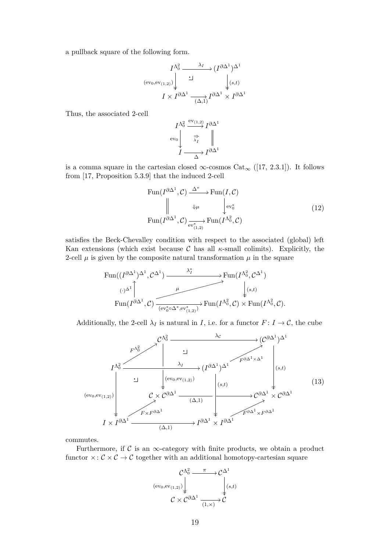a pullback square of the following form.

$$
I^{\Lambda_0^2} \xrightarrow{\lambda_I} (I^{\partial \Delta^1})^{\Delta^1}
$$
  
\n
$$
(\text{ev}_0, \text{ev}_{(1,2)}) \downarrow \qquad \qquad \downarrow (s,t)
$$
  
\n
$$
I \times I^{\partial \Delta^1} \xrightarrow{(\Delta,1)} I^{\partial \Delta^1} \times I^{\partial \Delta^1}
$$

Thus, the associated 2-cell

<span id="page-18-0"></span>
$$
I^{\Lambda_0^2} \xrightarrow{\text{ev}_{(1,2)}} I^{\partial \Delta^1} \text{ev}_0 \qquad \Rightarrow \nI \longrightarrow I^{\partial \Delta^1} \nI \longrightarrow I^{\partial \Delta^1}
$$

is a comma square in the cartesian closed  $\infty$ -cosmos Cat<sub> $\infty$ </sub> ([\[17,](#page-35-14) 2.3.1]). It follows from [\[17,](#page-35-14) Proposition 5.3.9] that the induced 2-cell

$$
\text{Fun}(I^{\partial \Delta^1}, \mathcal{C}) \xrightarrow{\Delta^*} \text{Fun}(I, \mathcal{C})
$$
\n
$$
\parallel \qquad \qquad \downarrow \qquad \qquad \downarrow \text{ev}_0^* \qquad \qquad (12)
$$
\n
$$
\text{Fun}(I^{\partial \Delta^1}, \mathcal{C}) \xrightarrow{\text{ev}_{(1,2)}^*} \text{Fun}(I^{\Lambda_0^2}, \mathcal{C})
$$

satisfies the Beck-Chevalley condition with respect to the associated (global) left Kan extensions (which exist because  $\mathcal C$  has all  $\kappa$ -small colimits). Explicitly, the 2-cell  $\mu$  is given by the composite natural transformation  $\mu$  in the square

$$
\begin{CD} \text{Fun}((I^{\partial \Delta^1})^{\Delta^1}, \mathcal{C}^{\Delta^1}) \xrightarrow{\lambda_I^*} \text{Fun}(I^{\Lambda_0^2}, \mathcal{C}^{\Delta^1}) \\ \text{Fun}(I^{\partial \Delta^1}, \mathcal{C}) \xrightarrow{ \mu \longrightarrow} \text{Fun}(I^{\Lambda_0^2}, \mathcal{C}) \times \text{Fun}(I^{\Lambda_0^2}, \mathcal{C}). \end{CD}
$$

Additionally, the 2-cell  $\lambda_I$  is natural in *I*, i.e. for a functor  $F: I \to \mathcal{C}$ , the cube



commutes.

Furthermore, if  $\mathcal C$  is an  $\infty$ -category with finite products, we obtain a product functor  $\times: \mathcal{C} \times \mathcal{C} \to \mathcal{C}$  together with an additional homotopy-cartesian square

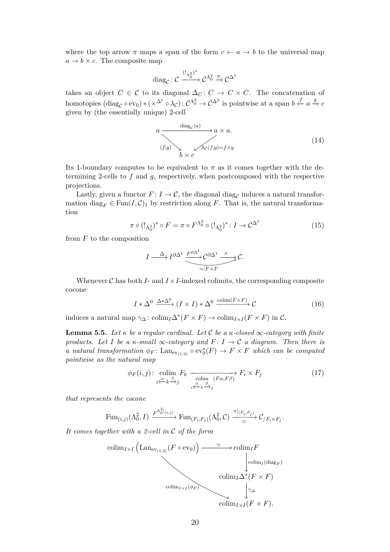where the top arrow  $\pi$  maps a span of the form  $c \leftarrow a \rightarrow b$  to the universal map  $a \rightarrow b \times c$ . The composite map

$$
\mathrm{diag}_\mathcal{C}\colon \mathcal{C} \xrightarrow{(!_{\Lambda_0^2})^*} \mathcal{C}^{\Lambda_0^2} \xrightarrow{\pi} \mathcal{C}^{\Delta^1}
$$

takes an object  $C \in \mathcal{C}$  to its diagonal  $\Delta_C : C \to C \times C$ . The concatenation of  $\text{homotopies } (\text{diag}_{\mathcal{C}} \circ \text{ev}_0) * (\times^{\Delta^1} \circ \lambda_{\mathcal{C}}) : \mathcal{C}^{\Delta^2} \to \mathcal{C}^{\Delta^2} \text{ is pointwise at a span } b \overset{f}{\leftarrow} a \overset{g}{\rightarrow} c$ given by (the essentially unique) 2-cell

<span id="page-19-2"></span>*a* diag<sup>C</sup> (*a*) / (*f,g*) ! *a* × *a. <sup>λ</sup>*C(*f,g*)=*f*×*<sup>g</sup>* zz *b* × *c* (14)

Its 1-boundary computes to be equivalent to  $\pi$  as it comes together with the determining 2-cells to *f* and *g*, respectively, when postcomposed with the respective projections.

Lastly, given a functor  $F: I \to \mathcal{C}$ , the diagonal diag<sub>c</sub> induces a natural transformation diag<sub>F</sub>  $\in$  Fun(*I*, C<sub>)1</sub> by restriction along *F*. That is, the natural transformation

$$
\pi \circ (!_{\Lambda_0^2})^* \circ F = \pi \circ F^{\Lambda_0^2} \circ (!_{\Lambda_0^2})^* \colon I \to \mathcal{C}^{\Delta^1}
$$
\n
$$
(15)
$$

from *F* to the composition

<span id="page-19-3"></span><span id="page-19-1"></span>
$$
I \xrightarrow{\Delta} I^{\partial \Delta^1} \underbrace{\xrightarrow{F^{\partial \Delta^1}} C^{\partial \Delta^1} \xrightarrow{\times} C}_{=:F \times F}.
$$

Whenever  $\mathcal C$  has both  $I$ - and  $I \times I$ -indexed colimits, the corresponding composite cocone

$$
I * \Delta^{0} \xrightarrow{\Delta * \Delta^{0}} (I \times I) * \Delta^{0} \xrightarrow{\text{colim}(F \times F)} \mathcal{C}
$$
 (16)

induces a natural map  $\gamma_{\Delta}$ : colim<sub>*I*</sub> $\Delta^*(F \times F) \to$  colim<sub>*I*×*I*</sub>( $F \times F$ ) in C.

<span id="page-19-0"></span>**Lemma 5.5.** Let  $\kappa$  be a regular cardinal. Let C be a  $\kappa$ -closed  $\infty$ -category with finite *products. Let I be a*  $\kappa$ -small  $\infty$ -category and  $F: I \to \mathcal{C}$  a diagram. Then there is *a natural transformation*  $\phi_F$ : Lan<sub>ev(1,2)</sub>  $\circ$  ev<sub>0</sub><sup>\*</sup>(*F*)  $\to$  *F*  $\times$  *F which can be computed pointwise as the natural map*

$$
\phi_F(i,j): \underset{i \xleftarrow{\alpha} k \xrightarrow{\beta} j}{\text{colim}} F_k \xrightarrow[\text{colim} \text{K} \xrightarrow{\alpha} j]{} F_i \times F_j
$$
\n
$$
(17)
$$

*that represents the cocone*

$$
\operatorname{Fun}_{(i,j)}(\Lambda_0^2,I) \xrightarrow{F^{\Lambda_0^2(i,j)}} \operatorname{Fun}_{(F_i,F_j)}(\Lambda_0^2,\mathcal{C}) \xrightarrow{\pi|_{(F_i,F_j)}} \mathcal{C}_{/F_i \times F_j}.
$$

*It comes together with a 2-cell in* C *of the form*

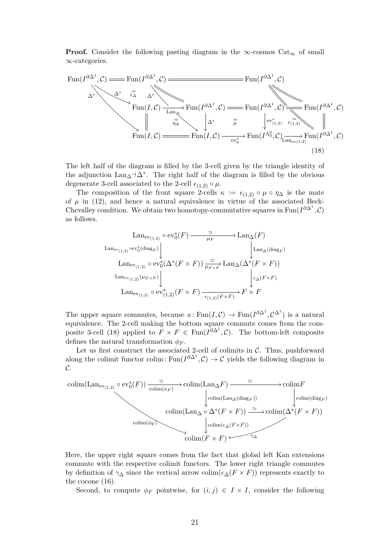**Proof.** Consider the following pasting diagram in the  $\infty$ -cosmos Cat<sub> $\infty$ </sub> of small ∞-categories.



The left half of the diagram is filled by the 3-cell given by the triangle identity of the adjunction  $\text{Lan}_{\Delta} \neg \Delta^*$ . The right half of the diagram is filled by the obvious degenerate 3-cell associated to the 2-cell  $\epsilon_{(1,2)} \circ \mu$ .

The composition of the front square 2-cells  $\kappa := \epsilon_{(1,2)} \circ \mu \circ \eta_{\Delta}$  is the mate of  $\mu$  in [\(12\)](#page-18-0), and hence a natural equivalence in virtue of the associated Beck-Chevalley condition. We obtain two homotopy-commutative squares in Fun( $I^{\partial \Delta^1}$ , $\mathcal{C}$ ) as follows.

<span id="page-20-0"></span>
$$
\begin{array}{c}\n\text{Lan}_{\text{ev}_{(1,2)}} \circ \text{ev}_0^*(F) \xrightarrow{\simeq} \text{Lan}_{\Delta}(F) \\
\text{Lan}_{\text{ev}_{(1,2)}} \circ \text{ev}_0^*(\text{diag}_F) \downarrow \qquad \qquad \downarrow \\
\text{Lan}_{\text{ev}_{(1,2)}} \circ \text{ev}_0^*(\Delta^*(F \times F)) \xrightarrow{\simeq} \text{Lan}_{\Delta}(\Delta^*(F \times F)) \\
\text{Lan}_{\text{ev}_{(1,2)}}(\mu_{F \times F}) \downarrow \qquad \qquad \downarrow \\
\text{Lan}_{\text{ev}_{(1,2)}} \circ \text{ev}_{(1,2)}^*(F \times F) \xrightarrow{\simeq} \text{Lan}_{\Delta}(F \times F) \\
\text{Lan}_{\text{ev}_{(1,2)}} \circ \text{ev}_{(1,2)}^*(F \times F) \xrightarrow{\epsilon_{(1,2)}(F \times F)} F \times F\n\end{array}
$$

The upper square commutes, because  $\kappa$ : Fun $(I,\mathcal{C}) \to \text{Fun}(I^{\partial \Delta^1},\mathcal{C}^{\Delta^1})$  is a natural equivalence. The 2-cell making the bottom square commute comes from the com-posite 3-cell [\(18\)](#page-20-0) applied to  $F \times F \in \text{Fun}(I^{\partial \Delta^1}, \mathcal{C})$ . The bottom-left composite defines the natural transformation  $\phi_F$ .

Let us first construct the associated 2-cell of colimits in  $C$ . Thus, pushforward along the colimit functor colim: Fun( $I^{\partial \Delta^1}, C$ )  $\rightarrow C$  yields the following diagram in  $\mathcal{C}.$ 



Here, the upper right square comes from the fact that global left Kan extensions commute with the respective colimit functors. The lower right triangle commutes by definition of  $\gamma_{\Delta}$  since the vertical arrow colim $(\epsilon_{\Delta}(F \times F))$  represents exactly to the cocone [\(16\)](#page-19-1).

Second, to compute  $\phi_F$  pointwise, for  $(i, j) \in I \times I$ , consider the following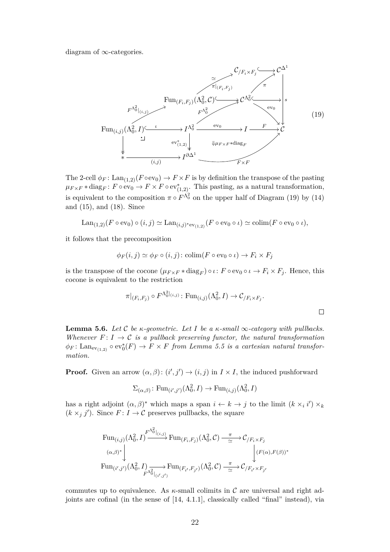diagram of  $\infty$ -categories.

<span id="page-21-1"></span>

The 2-cell  $\phi_F$ : Lan<sub>(1,2)</sub>( $F \circ ev_0$ )  $\to F \times F$  is by definition the transpose of the pasting  $\mu_{F \times F} * diag_F : F \circ ev_0 \to F \times F \circ ev_{(1,2)}^*$ . This pasting, as a natural transformation, is equivalent to the composition  $\pi \circ F^{\Lambda_0^2}$  on the upper half of Diagram [\(19\)](#page-21-1) by [\(14\)](#page-19-2) and [\(15\)](#page-19-3), and [\(18\)](#page-20-0). Since

$$
\operatorname{Lan}_{(1,2)}(F \circ \operatorname{ev}_0) \circ (i,j) \simeq \operatorname{Lan}_{(i,j)^* \operatorname{ev}_{(1,2)}}(F \circ \operatorname{ev}_0 \circ \iota) \simeq \operatorname{colim}(F \circ \operatorname{ev}_0 \circ \iota),
$$

it follows that the precomposition

$$
\phi_F(i,j) \simeq \phi_F \circ (i,j) : \text{colim}(F \circ \text{ev}_0 \circ \iota) \to F_i \times F_j
$$

is the transpose of the cocone  $(\mu_{F \times F} * diag_F) \circ \iota : F \circ ev_0 \circ \iota \to F_i \times F_j$ . Hence, this cocone is equivalent to the restriction

$$
\pi|_{(F_i, F_j)} \circ F^{\Lambda_0^2|_{(i,j)}} \colon \text{Fun}_{(i,j)}(\Lambda_0^2, I) \to \mathcal{C}_{/F_i \times F_j}.
$$

<span id="page-21-0"></span>**Lemma 5.6.** Let C be  $\kappa$ -geometric. Let I be a  $\kappa$ -small  $\infty$ -category with pullbacks. *Whenever*  $F: I \to \mathcal{C}$  *is a pullback preserving functor, the natural transformation*  $\phi_F$ : Lan<sub>ev(1,2)</sub>  $\circ$  ev<sup>\*</sup><sub>0</sub> $(F) \rightarrow F \times F$  *from Lemma [5.5](#page-19-0) is a cartesian natural transformation.*

**Proof.** Given an arrow  $(\alpha, \beta) : (i', j') \rightarrow (i, j)$  in  $I \times I$ , the induced pushforward

$$
\Sigma_{(\alpha,\beta)}\colon \text{Fun}_{(i',j')}(\Lambda^2_0,I)\to \text{Fun}_{(i,j)}(\Lambda^2_0,I)
$$

has a right adjoint  $(\alpha, \beta)^*$  which maps a span  $i \leftarrow k \rightarrow j$  to the limit  $(k \times_i i') \times_k$  $(k \times_j j')$ . Since  $F: I \to \mathcal{C}$  preserves pullbacks, the square

$$
\operatorname{Fun}_{(i,j)}(\Lambda_0^2, I) \xrightarrow{F^{\Lambda_0^2}|_{(i,j)}} \operatorname{Fun}_{(F_i, F_j)}(\Lambda_0^2, C) \xrightarrow{\pi} \mathcal{C}_{/F_i \times F_j}
$$
\n
$$
\downarrow^{(\alpha,\beta)^*} \qquad \qquad \downarrow^{(\mathcal{F}(\alpha), \mathcal{F}(\beta))^*}
$$
\n
$$
\operatorname{Fun}_{(i',j')}(\Lambda_0^2, I) \xrightarrow{T} \operatorname{Fun}_{(F_{i'}, F_{j'})}(\Lambda_0^2, C) \xrightarrow{\pi} \mathcal{C}_{/F_{i'} \times F_{j'}}
$$

commutes up to equivalence. As *κ*-small colimits in C are universal and right adjoints are cofinal (in the sense of [\[14,](#page-35-6) 4.1.1], classically called "final" instead), via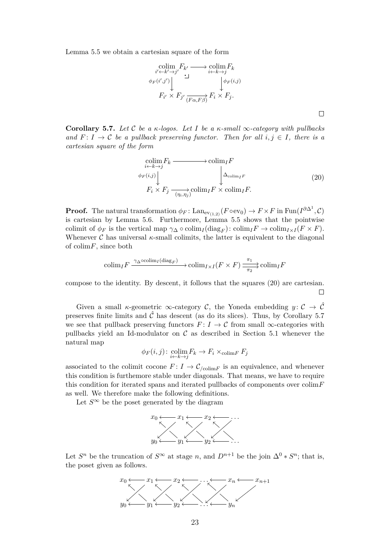Lemma [5.5](#page-19-0) we obtain a cartesian square of the form

$$
\begin{array}{c}\n\operatorname{colim}_{i' \leftarrow k' \rightarrow j'} F_{k'} \longrightarrow \operatorname{colim}_{i \leftarrow k \rightarrow j} F_k \\
\phi_F(i',j') \downarrow \qquad \qquad \downarrow \qquad \qquad \downarrow \phi_F(i,j) \\
F_{i'} \times F_{j'} \xrightarrow{(F\alpha,F\beta)} F_i \times F_j.\n\end{array}
$$

<span id="page-22-0"></span>**Corollary 5.7.** *Let* C *be a κ-logos. Let I be a κ-small* ∞*-category with pullbacks and*  $F: I \to \mathcal{C}$  *be a pullback preserving functor. Then for all*  $i, j \in I$ *, there is a cartesian square of the form*

<span id="page-22-1"></span>
$$
\begin{array}{c}\n\operatorname{colim}_{i \leftarrow k \to j} F_k \longrightarrow \operatorname{colim}_I F \\
\phi_F(i,j) \downarrow \qquad \qquad \downarrow \Delta_{\operatorname{colim}_I F} \\
F_i \times F_j \xrightarrow{\qquad \qquad \downarrow \qquad \Delta_{\operatorname{colim}_I F} \\
\text{colim}_I F \times \operatorname{colim}_I F.\n\end{array} \tag{20}
$$

**Proof.** The natural transformation  $\phi_F$ : Lan<sub>ev(1,2)</sub> ( $F \circ ev_0$ )  $\to F \times F$  in Fun( $I^{\partial \Delta^1}$ , C) is cartesian by Lemma [5.6.](#page-21-0) Furthermore, Lemma [5.5](#page-19-0) shows that the pointwise colimit of  $\phi_F$  is the vertical map  $\gamma_\Lambda \circ \text{colim}_I(\text{diag}_F)$ :  $\text{colim}_I F \to \text{colim}_{I \times I} (F \times F)$ . Whenever C has universal  $\kappa$ -small colimits, the latter is equivalent to the diagonal of colim*F*, since both

$$
\text{colim}_{I} F \xrightarrow{\gamma_{\Delta} \circ \text{colim}_{I} (\text{diag}_{F})} \text{colim}_{I \times I} (F \times F) \xrightarrow{\pi_{1}} \text{colim}_{I} F
$$

compose to the identity. By descent, it follows that the squares [\(20\)](#page-22-1) are cartesian.  $\Box$ 

Given a small *κ*-geometric  $\infty$ -category C, the Yoneda embedding  $y: \mathcal{C} \to \hat{\mathcal{C}}$ preserves finite limits and  $\hat{\mathcal{C}}$  has descent (as do its slices). Thus, by Corollary [5.7](#page-22-0) we see that pullback preserving functors  $F: I \to \mathcal{C}$  from small  $\infty$ -categories with pullbacks yield an Id-modulator on  $\mathcal C$  as described in Section [5.1](#page-14-1) whenever the natural map

$$
\phi_F(i,j) \colon \underset{i \leftarrow k \rightarrow j}{\text{colim}} F_k \to F_i \times_{\text{colim} F} F_j
$$

associated to the colimit cocone  $F: I \to \mathcal{C}_{\text{colim} F}$  is an equivalence, and whenever this condition is furthemore stable under diagonals. That means, we have to require this condition for iterated spans and iterated pullbacks of components over colim*F* as well. We therefore make the following definitions.

Let  $S^{\infty}$  be the poset generated by the diagram



Let  $S^n$  be the truncation of  $S^{\infty}$  at stage *n*, and  $D^{n+1}$  be the join  $\Delta^0 * S^n$ ; that is, the poset given as follows.

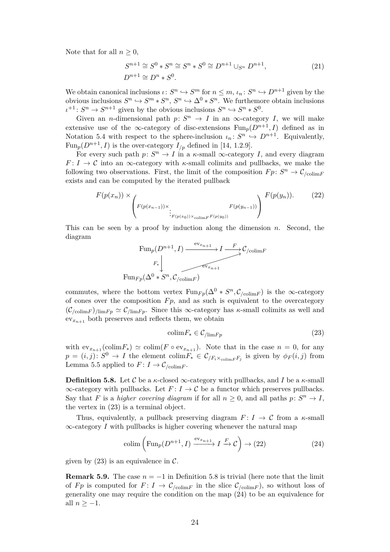Note that for all  $n \geq 0$ ,

<span id="page-23-4"></span>
$$
S^{n+1} \cong S^0 * S^n \cong S^n * S^0 \cong D^{n+1} \cup_{S^n} D^{n+1},
$$
  
\n
$$
D^{n+1} \cong D^n * S^0.
$$
\n(21)

We obtain canonical inclusions  $\iota: S^n \hookrightarrow S^m$  for  $n \leq m$ ,  $\iota_n: S^n \hookrightarrow D^{n+1}$  given by the obvious inclusions  $S^n \hookrightarrow S^m * S^n$ ,  $S^n \hookrightarrow \Delta^0 * S^n$ . We furthemore obtain inclusions  $\iota^{+1}: S^n \to S^{n+1}$  given by the obvious inclusions  $S^n \hookrightarrow S^n * S^0$ .

Given an *n*-dimensional path  $p: S^n \to I$  in an  $\infty$ -category *I*, we will make extensive use of the  $\infty$ -category of disc-extensions  $\text{Fun}_n(D^{n+1}, I)$  defined as in Notation [5.4](#page-17-2) with respect to the sphere-inclusion  $\iota_n: S^n \hookrightarrow D^{n+1}$ . Equivalently, Fun<sub>p</sub>( $D^{n+1}$ , *I*) is the over-category  $I_{p}$  defined in [\[14,](#page-35-6) 1.2.9].

For every such path  $p: S^n \to I$  in a *κ*-small  $\infty$ -category *I*, and every diagram  $F: I \to \mathcal{C}$  into an  $\infty$ -category with *κ*-small colimits and pullbacks, we make the following two observations. First, the limit of the composition  $Fp: S^n \to \mathcal{C}_{\text{colim}F}$ exists and can be computed by the iterated pullback

$$
F(p(x_n)) \times \left(F(p(x_{n-1})) \times \frac{F(p(y_n))}{\left(F(p(x_{n-1})) \times \frac{F(p(y_{n-1}))}{\left(F(p(x_n)) \times \text{colim}(F(p(y_0))\right)}\right)}\right)^{F(p(y_n))}.
$$
 (22)

This can be seen by a proof by induction along the dimension *n*. Second, the diagram

<span id="page-23-2"></span>
$$
\text{Fun}_p(D^{n+1}, I) \xrightarrow{\text{ev}_{x_{n+1}}} I \xrightarrow{F} C_{\text{colim}F}
$$
\n
$$
\downarrow F_* \downarrow \qquad \qquad \downarrow
$$
\n
$$
\text{Fun}_{Fp}(\Delta^0 * S^n, C_{\text{colim}F})
$$

commutes, where the bottom vertex  $\text{Fun}_{F_p}(\Delta^0 * S^n, \mathcal{C}_{\text{/colim} F})$  is the ∞-category of cones over the composition  $F_p$ , and as such is equivalent to the overcategory  $(\mathcal{C}_{\text{colim}F})_{\text{lim}Fp} \simeq \mathcal{C}_{\text{lim}Fp}$ . Since this  $\infty$ -category has *κ*-small colimits as well and  $ev_{x_{n+1}}$  both preserves and reflects them, we obtain

<span id="page-23-3"></span><span id="page-23-1"></span>
$$
\text{colim} F_* \in \mathcal{C}_{/\text{lim} Fp} \tag{23}
$$

with  $ev_{x_{n+1}}(\text{colim} F_*) \simeq \text{colim}(F \circ ev_{x_{n+1}})$ . Note that in the case  $n = 0$ , for any  $p = (i, j): S^0 \to I$  the element colim $F_* \in C_{/F_i \times_{\text{colim} F} F_j}$  is given by  $\phi_F(i, j)$  from Lemma [5.5](#page-19-0) applied to  $F: I \to \mathcal{C}_{\text{colim} F}$ .

<span id="page-23-0"></span>**Definition 5.8.** Let C be a  $\kappa$ -closed  $\infty$ -category with pullbacks, and I be a  $\kappa$ -small  $\infty$ -category with pullbacks. Let  $F: I \to \mathcal{C}$  be a functor which preserves pullbacks. Say that *F* is a *higher covering diagram* if for all  $n \geq 0$ , and all paths  $p: S^n \to I$ , the vertex in [\(23\)](#page-23-1) is a terminal object.

Thus, equivalently, a pullback preserving diagram  $F: I \to \mathcal{C}$  from a  $\kappa$ -small ∞-category *I* with pullbacks is higher covering whenever the natural map

$$
\text{colim}\left(\text{Fun}_p(D^{n+1}, I) \xrightarrow{\text{ev}_{x_{n+1}}} I \xrightarrow{F} \mathcal{C}\right) \to (22) \tag{24}
$$

given by  $(23)$  is an equivalence in C.

<span id="page-23-5"></span>**Remark 5.9.** The case  $n = -1$  in Definition [5.8](#page-23-0) is trivial (here note that the limit of *Fp* is computed for  $F: I \to \mathcal{C}_{\text{colim}F}$  in the slice  $\mathcal{C}_{\text{colim}F}$ , so without loss of generality one may require the condition on the map [\(24\)](#page-23-3) to be an equivalence for all  $n > -1$ .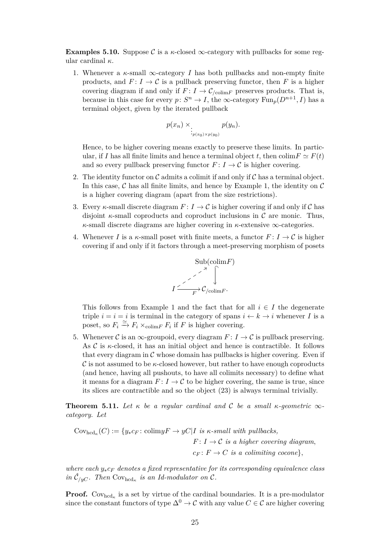**Examples 5.10.** Suppose C is a  $\kappa$ -closed  $\infty$ -category with pullbacks for some regular cardinal *κ*.

1. Whenever a *κ*-small ∞-category *I* has both pullbacks and non-empty finite products, and  $F: I \to \mathcal{C}$  is a pullback preserving functor, then *F* is a higher covering diagram if and only if  $F: I \to \mathcal{C}_{\text{colim} F}$  preserves products. That is, because in this case for every  $p: S^n \to I$ , the  $\infty$ -category  $\text{Fun}_p(D^{n+1}, I)$  has a terminal object, given by the iterated pullback

$$
p(x_n) \times \int_{\substack{\cdot \\ p(x_0) \times p(y_0)}} p(y_n).
$$

Hence, to be higher covering means exactly to preserve these limits. In particular, if *I* has all finite limits and hence a terminal object *t*, then  $\text{colim} F \simeq F(t)$ and so every pullback preserving functor  $F: I \to \mathcal{C}$  is higher covering.

- 2. The identity functor on  $\mathcal C$  admits a colimit if and only if  $\mathcal C$  has a terminal object. In this case,  $\mathcal C$  has all finite limits, and hence by Example 1, the identity on  $\mathcal C$ is a higher covering diagram (apart from the size restrictions).
- 3. Every *κ*-small discrete diagram  $F: I \to \mathcal{C}$  is higher covering if and only if  $\mathcal{C}$  has disjoint  $\kappa$ -small coproducts and coproduct inclusions in  $\mathcal C$  are monic. Thus, *κ*-small discrete diagrams are higher covering in *κ*-extensive ∞-categories.
- 4. Whenever *I* is a  $\kappa$ -small poset with finite meets, a functor  $F: I \to \mathcal{C}$  is higher covering if and only if it factors through a meet-preserving morphism of posets



This follows from Example 1 and the fact that for all  $i \in I$  the degenerate triple  $i = i = i$  is terminal in the category of spans  $i \leftarrow k \rightarrow i$  whenever *I* is a poset, so  $F_i \xrightarrow{\simeq} F_i \times_{\text{colim}F} F_i$  if *F* is higher covering.

5. Whenever C is an  $\infty$ -groupoid, every diagram  $F: I \to \mathcal{C}$  is pullback preserving. As  $\mathcal C$  is  $\kappa$ -closed, it has an initial object and hence is contractible. It follows that every diagram in  $\mathcal C$  whose domain has pullbacks is higher covering. Even if C is not assumed to be *κ*-closed however, but rather to have enough coproducts (and hence, having all pushouts, to have all colimits necessary) to define what it means for a diagram  $F: I \to \mathcal{C}$  to be higher covering, the same is true, since its slices are contractible and so the object [\(23\)](#page-23-1) is always terminal trivially.

<span id="page-24-0"></span>**Theorem 5.11.** Let  $\kappa$  be a regular cardinal and C be a small  $\kappa$ -geometric  $\infty$ *category. Let*

$$
Cov_{hcd_{\kappa}}(C) := \{ y_*c_F \colon \text{colim} yF \to yC | I \text{ is } \kappa\text{-small with pullbacks},
$$
  

$$
F: I \to C \text{ is a higher covering diagram},
$$
  

$$
c_F: F \to C \text{ is a colimiting cocone} \},
$$

*where each y*∗*c<sup>F</sup> denotes a fixed representative for its corresponding equivalence class in*  $\hat{C}_{/yC}$ *. Then*  $Cov_{\text{hcd}_{\kappa}}$  *is an Id-modulator on*  $C$ *.* 

**Proof.** Cov<sub>hcd<sub>κ</sub></sub> is a set by virtue of the cardinal boundaries. It is a pre-modulator since the constant functors of type  $\Delta^0 \to \mathcal{C}$  with any value  $C \in \mathcal{C}$  are higher covering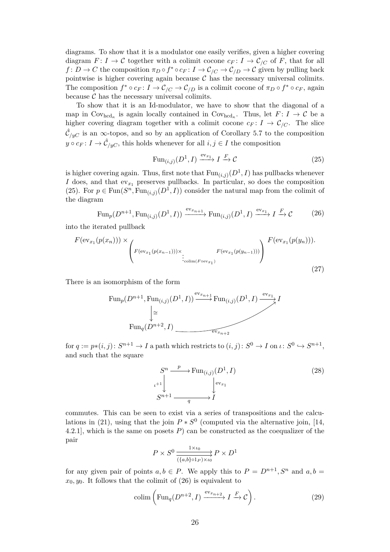diagrams. To show that it is a modulator one easily verifies, given a higher covering diagram  $F: I \to \mathcal{C}$  together with a colimit cocone  $c_F: I \to \mathcal{C}_{/C}$  of F, that for all *f* : *D* → *C* the composition  $\pi_D \circ f^* \circ c_F : I \to \mathcal{C}_{/C} \to \mathcal{C}_{/D} \to \mathcal{C}$  given by pulling back pointwise is higher covering again because  $C$  has the necessary universal colimits. The composition  $f^* \circ c_F : I \to C_{/C} \to C_{/D}$  is a colimit cocone of  $\pi_D \circ f^* \circ c_F$ , again because  $\mathcal C$  has the necessary universal colimits.

To show that it is an Id-modulator, we have to show that the diagonal of a map in  $\text{Cov}_{\text{hcd}_{\kappa}}$  is again locally contained in  $\text{Cov}_{\text{hcd}_{\kappa}}$ . Thus, let  $F: I \to \mathcal{C}$  be a higher covering diagram together with a colimit cocone  $c_F: I \to \mathcal{C}_{/C}$ . The slice  $\hat{\mathcal{C}}_{/yC}$  is an  $\infty$ -topos, and so by an application of Corollary [5.7](#page-22-0) to the composition  $y \circ c_F : I \to \hat{C}_{/yC}$ , this holds whenever for all  $i, j \in I$  the composition

<span id="page-25-1"></span><span id="page-25-0"></span>
$$
\text{Fun}_{(i,j)}(D^1, I) \xrightarrow{\text{ev}_{x_1}} I \xrightarrow{F} \mathcal{C}
$$
\n(25)

is higher covering again. Thus, first note that  $\text{Fun}_{(i,j)}(D^1, I)$  has pullbacks whenever *I* does, and that  $ev_{x_1}$  preserves pullbacks. In particular, so does the composition [\(25\)](#page-25-0). For  $p \in \text{Fun}(S^n, \text{Fun}_{(i,j)}(D^1, I))$  consider the natural map from the colimit of the diagram

$$
\operatorname{Fun}_p(D^{n+1}, \operatorname{Fun}_{(i,j)}(D^1, I)) \xrightarrow{\operatorname{ev}_{x_{n+1}}} \operatorname{Fun}_{(i,j)}(D^1, I) \xrightarrow{\operatorname{ev}_{x_1}} I \xrightarrow{F} \mathcal{C}
$$
 (26)

into the iterated pullback

$$
F(\mathrm{ev}_{x_1}(p(x_n))) \times \left(F(\mathrm{ev}_{x_1}(p(x_{n-1}))) \times \underset{\mathrm{colim}(F \circ \mathrm{ev}_{x_1})}{\cdot} F(\mathrm{ev}_{x_1}(p(y_{n-1})))\right) \xrightarrow{F(\mathrm{ev}_{x_1}(p(y_n))).
$$
\n(27)

There is an isomorphism of the form

Fun<sub>p</sub>
$$
(D^{n+1}, \text{Fun}_{(i,j)}(D^1, I)) \xrightarrow{\text{ev}_{x_{n+1}}} \text{Fun}_{(i,j)}(D^1, I) \xrightarrow{\text{ev}_{x_1}} I
$$
  
\n $\xrightarrow{\downarrow}$   
\nFun<sub>q</sub> $(D^{n+2}, I)$ 

 $\text{for } q := p*(i, j): S^{n+1} \to I \text{ a path which restricts to } (i, j): S^0 \to I \text{ on } \iota: S^0 \to S^{n+1},$ and such that the square

<span id="page-25-3"></span><span id="page-25-2"></span>
$$
S^{n} \xrightarrow{p} \text{Fun}_{(i,j)}(D^{1}, I)
$$
\n
$$
L^{+1} \downarrow \qquad \qquad \downarrow \text{ev}_{x_{1}}
$$
\n
$$
S^{n+1} \xrightarrow{q} I
$$
\n(28)

commutes. This can be seen to exist via a series of transpositions and the calcu-lations in [\(21\)](#page-23-4), using that the join  $P * S^0$  (computed via the alternative join, [\[14,](#page-35-6) 4.2.1], which is the same on posets *P*) can be constructed as the coequalizer of the pair

<span id="page-25-4"></span>
$$
P\times S^0 \xrightarrow[\{a,b\}\circ 1_P)\times \iota_0]{1\times \iota_0} P\times D^1
$$

for any given pair of points  $a, b \in P$ . We apply this to  $P = D^{n+1}, S^n$  and  $a, b =$  $x_0, y_0$ . It follows that the colimit of [\(26\)](#page-25-1) is equivalent to

$$
\text{colim}\left(\text{Fun}_q(D^{n+2}, I) \xrightarrow{\text{ev}_{x_{n+2}}} I \xrightarrow{F} \mathcal{C}\right). \tag{29}
$$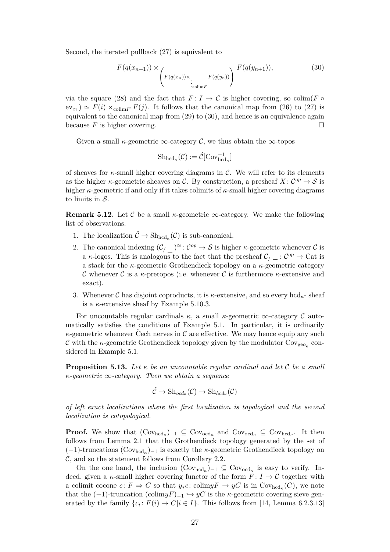Second, the iterated pullback [\(27\)](#page-25-2) is equivalent to

$$
F(q(x_{n+1})) \times \left(F(q(x_n)) \times \underbrace{F(q(y_n))}_{\text{colim } F}\right) \xrightarrow{F(q(y_{n+1})),}
$$
\n(30)

via the square [\(28\)](#page-25-3) and the fact that  $F: I \to \mathcal{C}$  is higher covering, so colim( $F \circ$  $ev_{x_1}$   $\simeq$   $F(i) \times_{\text{colim} F} F(j)$ . It follows that the canonical map from [\(26\)](#page-25-1) to [\(27\)](#page-25-2) is equivalent to the canonical map from [\(29\)](#page-25-4) to [\(30\)](#page-26-1), and hence is an equivalence again because *F* is higher covering.  $\Box$ 

Given a small  $\kappa$ -geometric  $\infty$ -category  $\mathcal{C}$ , we thus obtain the  $\infty$ -topos

<span id="page-26-1"></span>
$$
\mathrm{Sh}_{\mathrm{hcd}_\kappa}(\mathcal{C}) := \hat{\mathcal{C}}[\mathrm{Cov}_{\mathrm{hcd}_\kappa}^{-1}]
$$

of sheaves for *κ*-small higher covering diagrams in C. We will refer to its elements as the higher *κ*-geometric sheaves on C. By construction, a presheaf  $X: C^{op} \to S$  is higher *κ*-geometric if and only if it takes colimits of *κ*-small higher covering diagrams to limits in  $S$ .

<span id="page-26-2"></span>**Remark 5.12.** Let C be a small  $\kappa$ -geometric  $\infty$ -category. We make the following list of observations.

- 1. The localization  $\hat{C} \to \mathrm{Sh}_{\mathrm{hcd}_\kappa}(\mathcal{C})$  is sub-canonical.
- 2. The canonical indexing  $(\mathcal{C}\n/_{\mathcal{O}})^{\simeq} : \mathcal{C}^{op} \to \mathcal{S}$  is higher *κ*-geometric whenever  $\mathcal{C}$  is a *κ*-logos. This is analogous to the fact that the presheaf  $\mathcal{C}_/ \subset \mathcal{C}^{op} \to \mathbb{C}$ at is a stack for the *κ*-geometric Grothendieck topology on a *κ*-geometric category C whenever C is a  $\kappa$ -pretopos (i.e. whenever C is furthermore  $\kappa$ -extensive and exact).
- 3. Whenever C has disjoint coproducts, it is  $\kappa$ -extensive, and so every hcd<sub> $\kappa$ </sub>-sheaf is a *κ*-extensive sheaf by Example [5.10.](#page-23-5)3.

For uncountable regular cardinals  $\kappa$ , a small  $\kappa$ -geometric  $\infty$ -category  $\mathcal C$  automatically satisfies the conditions of Example [5.1.](#page-15-0) In particular, it is ordinarily  $\kappa$ -geometric whenever Cech nerves in  $\mathcal C$  are effective. We may hence equip any such  $\mathcal C$  with the *κ*-geometric Grothendieck topology given by the modulator  $\mathrm{Cov}_{\mathrm{geo}_{\kappa}}$  considered in Example [5.1.](#page-15-0)

<span id="page-26-0"></span>**Proposition 5.13.** *Let κ be an uncountable regular cardinal and let* C *be a small κ-geometric* ∞*-category. Then we obtain a sequence*

$$
\hat{\mathcal{C}} \to {\rm Sh}_{\it ocd_{\kappa}}(\mathcal{C}) \to {\rm Sh}_{\it hcd_{\kappa}}(\mathcal{C})
$$

*of left exact localizations where the first localization is topological and the second localization is cotopological.*

**Proof.** We show that  $(\text{Cov}_{\text{hcd}_{\kappa}})_{-1} \subseteq \text{Cov}_{\text{od}_{\kappa}}$  and  $\text{Cov}_{\text{od}_{\kappa}} \subseteq \text{Cov}_{\text{hcd}_{\kappa}}$ . It then follows from Lemma [2.1](#page-5-0) that the Grothendieck topology generated by the set of (−1)-truncations (Covhcd*<sup>κ</sup>* )−<sup>1</sup> is exactly the *κ*-geometric Grothendieck topology on  $\mathcal{C}$ , and so the statement follows from Corollary [2.2.](#page-6-0)

On the one hand, the inclusion  $(Cov_{\text{hcd}_{\kappa}})_{-1} \subseteq Cov_{\text{ord}_{\kappa}}$  is easy to verify. Indeed, given a *κ*-small higher covering functor of the form  $F: I \to \mathcal{C}$  together with a colimit cocone  $c: F \Rightarrow C$  so that  $y_*c: \text{colim}yF \to yC$  is in  $\text{Cov}_{\text{hcd}_\kappa}(C)$ , we note that the  $(-1)$ -truncation  $(\text{colim}yF)_{-1} \hookrightarrow yC$  is the *κ*-geometric covering sieve generated by the family  $\{c_i: F(i) \to C | i \in I\}$ . This follows from [\[14,](#page-35-6) Lemma 6.2.3.13]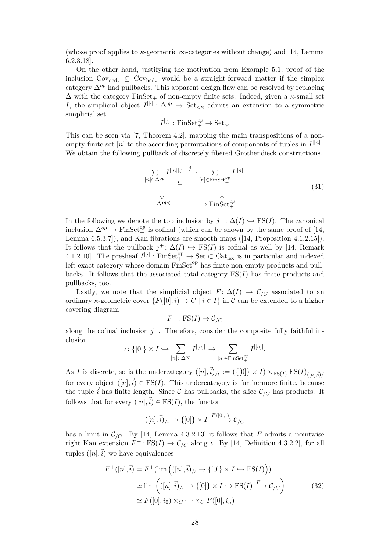(whose proof applies to  $\kappa$ -geometric  $\infty$ -categories without change) and [\[14,](#page-35-6) Lemma 6.2.3.18].

On the other hand, justifying the motivation from Example [5.1,](#page-15-0) proof of the inclusion  $Cov_{\text{ocd}_\kappa} \subseteq Cov_{\text{hcd}_\kappa}$  would be a straight-forward matter if the simplex category ∆*op* had pullbacks. This apparent design flaw can be resolved by replacing  $\Delta$  with the category FinSet<sub>+</sub> of non-empty finite sets. Indeed, given a  $\kappa$ -small set *I*, the simplicial object  $I^{[[.]]} \colon \Delta^{op} \to \text{Set}_{\leq \kappa}$  admits an extension to a symmetric simplicial set |[·]|

$$
I^{|[\cdot]|} \colon \mathrm{FinSet}^{op}_+ \to \mathrm{Set}_{\kappa}.
$$

This can be seen via [\[7,](#page-35-15) Theorem 4.2], mapping the main transpositions of a nonempty finite set  $[n]$  to the according permutations of components of tuples in  $I^{[[n]]}$ . We obtain the following pullback of discretely fibered Grothendieck constructions.

$$
\sum_{[n] \in \Delta^{op}} I^{|[n]|} \xrightarrow{j^{+}} \sum_{[n] \in \text{FinSet}_{+}^{op}} I^{|[n]|}
$$
\n
$$
\downarrow \qquad \qquad \downarrow
$$
\n
$$
\Delta^{op} \xrightarrow{\text{FinSet}_{+}^{op}}
$$
\n
$$
\text{FinSet}_{+}^{op}
$$
\n(31)

In the following we denote the top inclusion by  $j^+$ :  $\Delta(I) \hookrightarrow FS(I)$ . The canonical inclusion  $\Delta^{op} \to \text{FinSet}^{op}_+$  is cofinal (which can be shown by the same proof of [\[14,](#page-35-6) Lemma 6.5.3.7]), and Kan fibrations are smooth maps ([\[14,](#page-35-6) Proposition 4.1.2.15]). It follows that the pullback  $j^+$ :  $\Delta(I) \hookrightarrow FS(I)$  is cofinal as well by [\[14,](#page-35-6) Remark 4.1.2.10]. The presheaf  $I^{|\cdot|}$ : FinSet<sup>op</sup>  $\rightarrow$  Set  $\subset$  Cat<sub>lex</sub> is in particular and indexed left exact category whose domain  $\text{FinSet}^{\text{op}}_+$  has finite non-empty products and pullbacks. It follows that the associated total category  $\operatorname{FS}(I)$  has finite products and pullbacks, too.

Lastly, we note that the simplicial object  $F: \Delta(I) \to \mathcal{C}_{/C}$  associated to an ordinary *κ*-geometric cover  $\{F([0], i) \to C \mid i \in I\}$  in C can be extended to a higher covering diagram

$$
F^+ \colon \text{FS}(I) \to \mathcal{C}_{/C}
$$

along the cofinal inclusion  $j^+$ . Therefore, consider the composite fully faithful inclusion

$$
\iota\colon \{[0]\}\times I\hookrightarrow \sum_{[n]\in \Delta^{op}}I^{|[n]|}\hookrightarrow \sum_{[n]\in \text{Finset}_+^{op}}I^{|[n]|}.
$$

As *I* is discrete, so is the undercategory  $([n], \vec{i})/_{\ell} := (\{[0]\} \times I) \times_{\text{FS}(I)} \text{FS}(I)_{([n], \vec{i})/_{\ell}}$ for every object  $([n], \vec{i}) \in \text{FS}(I)$ . This undercategory is furthermore finite, because the tuple  $\vec{i}$  has finite length. Since C has pullbacks, the slice  $\mathcal{C}_{/C}$  has products. It follows that for every  $([n], \vec{i}) \in \text{FS}(I)$ , the functor

<span id="page-27-0"></span>
$$
([n], \vec{i})_{\ell} \twoheadrightarrow \{[0]\} \times I \xrightarrow{F([0], \cdot)} \mathcal{C}_{\ell}^{C}
$$

has a limit in  $\mathcal{C}_{/C}$ . By [\[14,](#page-35-6) Lemma 4.3.2.13] it follows that *F* admits a pointwise right Kan extension  $F^+$ : FS(*I*)  $\rightarrow$  C<sub>/C</sub> along *ι*. By [\[14,](#page-35-6) Definition 4.3.2.2], for all tuples  $([n], \vec{i})$  we have equivalences

$$
F^+([n], \vec{i}) = F^+(\lim (([n], \vec{i})_{/l} \to \{[0]\} \times I \hookrightarrow \text{FS}(I)))
$$
  
\n
$$
\simeq \lim (([n], \vec{i})_{/l} \to \{[0]\} \times I \hookrightarrow \text{FS}(I) \xrightarrow{F^+} \mathcal{C}_{/C})
$$
  
\n
$$
\simeq F([0], i_0) \times_C \cdots \times_C F([0], i_n)
$$
\n(32)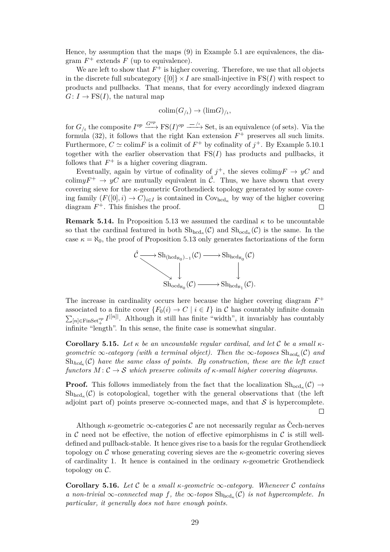Hence, by assumption that the maps [\(9\)](#page-16-1) in Example [5.1](#page-15-0) are equivalences, the diagram  $F^+$  extends  $F$  (up to equivalence).

We are left to show that  $F^+$  is higher covering. Therefore, we use that all objects in the discrete full subcategory  $\{0\} \times I$  are small-injective in FS(*I*) with respect to products and pullbacks. That means, that for every accordingly indexed diagram  $G: I \to \text{FS}(I)$ , the natural map

$$
\mathrm{colim}(G_{/t}) \to (\mathrm{lim} G)_{/t},
$$

for  $G_{/l}$  the composite  $I^{op} \xrightarrow{G^{op}} \text{FS}(I)^{op} \xrightarrow{-/\iota}$  Set, is an equivalence (of sets). Via the formula  $(32)$ , it follows that the right Kan extension  $F^+$  preserves all such limits. Furthermore,  $C \simeq \text{colim } F$  is a colimit of  $F^+$  by cofinality of  $j^+$ . By Example [5.10.](#page-23-5)1 together with the earlier observation that  $\operatorname{FS}(I)$  has products and pullbacks, it follows that  $F^+$  is a higher covering diagram.

Eventually, again by virtue of cofinality of  $j^+$ , the sieves colim $yF \to yC$  and colim $yF^+ \to yC$  are mutually equivalent in  $\hat{\mathcal{C}}$ . Thus, we have shown that every covering sieve for the *κ*-geometric Grothendieck topology generated by some covering family  $(F([0], i) \to C)_{i \in I}$  is contained in Cov<sub>hcd<sub>k</sub></sub> by way of the higher covering diagram  $F^+$ . This finishes the proof.  $\Box$ 

**Remark 5.14.** In Proposition [5.13](#page-26-0) we assumed the cardinal *κ* to be uncountable so that the cardinal featured in both  $\mathrm{Sh}_{\mathrm{hcd}_{\kappa}}(\mathcal{C})$  and  $\mathrm{Sh}_{\mathrm{ocd}_{\kappa}}(\mathcal{C})$  is the same. In the case  $\kappa = \aleph_0$ , the proof of Proposition [5.13](#page-26-0) only generates factorizations of the form



The increase in cardinality occurs here because the higher covering diagram  $F^+$ associated to a finite cover  $\{F_0(i) \to C \mid i \in I\}$  in C has countably infinite domain  $\sum_{[n] \in \text{FinSet}_{+}^{op}} I^{|[n]|}$ . Although it still has finite "width", it invariably has countably  $\Xi_{\text{left}}^{\text{inter}}$  infinite "length". In this sense, the finite case is somewhat singular.

**Corollary 5.15.** *Let κ be an uncountable regular cardinal, and let* C *be a small κgeometric*  $\infty$ *-category (with a terminal object). Then the*  $\infty$ *-toposes*  $\text{Sh}_{\text{ocd}_{\kappa}}(\mathcal{C})$  and  $\mathrm{Sh}_{hcd_{\kappa}}(\mathcal{C})$  *have the same class of points. By construction, these are the left exact functors*  $M: \mathcal{C} \to \mathcal{S}$  *which preserve colimits of*  $\kappa$ -small higher covering diagrams.

**Proof.** This follows immediately from the fact that the localization  $\text{Sh}_{\text{ocd}_{\kappa}}(\mathcal{C}) \to$  $\mathrm{Sh}_{\mathrm{hcd}_{\kappa}}(\mathcal{C})$  is cotopological, together with the general observations that (the left adjoint part of) points preserve  $\infty$ -connected maps, and that S is hypercomplete.  $\Box$ 

Although  $\kappa$ -geometric  $\infty$ -categories  $\mathcal C$  are not necessarily regular as Cech-nerves in C need not be effective, the notion of effective epimorphisms in C is still welldefined and pullback-stable. It hence gives rise to a basis for the regular Grothendieck topology on C whose generating covering sieves are the *κ*-geometric covering sieves of cardinality 1. It hence is contained in the ordinary *κ*-geometric Grothendieck topology on C.

<span id="page-28-0"></span>**Corollary 5.16.** *Let* C *be a small κ-geometric* ∞*-category. Whenever* C *contains a* non-trivial  $\infty$ -connected map f, the  $\infty$ -topos  $\mathrm{Sh}_{\mathrm{hcd}_{\kappa}}(\mathcal{C})$  *is not hypercomplete. In particular, it generally does not have enough points.*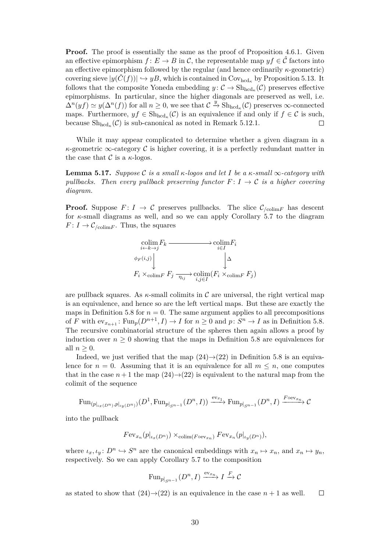**Proof.** The proof is essentially the same as the proof of Proposition [4.6.](#page-13-2)1. Given an effective epimorphism  $f: E \to B$  in C, the representable map  $y f \in \hat{\mathcal{C}}$  factors into an effective epimorphism followed by the regular (and hence ordinarily *κ*-geometric) covering sieve  $|y(\dot{C}(f))| \hookrightarrow yB$ , which is contained in Cov<sub>hcd<sub>k</sub></sub> by Proposition [5.13.](#page-26-0) It follows that the composite Yoneda embedding  $y: \mathcal{C} \to \mathrm{Sh}_{\mathrm{hcd}_\kappa}(\mathcal{C})$  preserves effective epimorphisms. In particular, since the higher diagonals are preserved as well, i.e.  $\Delta^{n}(y f) \simeq y(\Delta^{n}(f))$  for all  $n \geq 0$ , we see that  $C \stackrel{y}{\to} \text{Sh}_{\text{hcd}_{\kappa}}(\mathcal{C})$  preserves  $\infty$ -connected maps. Furthermore,  $yf \in Sh_{\text{hcd}_{\kappa}}(\mathcal{C})$  is an equivalence if and only if  $f \in \mathcal{C}$  is such, because  $\mathrm{Sh}_{\mathrm{hcd}_{\kappa}}(\mathcal{C})$  is sub-canonical as noted in Remark [5.12.](#page-26-2)1.  $\Box$ 

While it may appear complicated to determine whether a given diagram in a  $\kappa$ -geometric  $\infty$ -category C is higher covering, it is a perfectly redundant matter in the case that  $\mathcal C$  is a  $\kappa$ -logos.

<span id="page-29-0"></span>**Lemma 5.17.** *Suppose* C *is a small κ-logos and let I be a κ-small* ∞*-category with pullbacks. Then every pullback preserving functor*  $F: I \rightarrow C$  *is a higher covering diagram.*

**Proof.** Suppose  $F: I \to \mathcal{C}$  preserves pullbacks. The slice  $\mathcal{C}_{\text{colim}F}$  has descent for *κ*-small diagrams as well, and so we can apply Corollary [5.7](#page-22-0) to the diagram  $F: I \to \mathcal{C}_{\text{/colim}F}$ . Thus, the squares



are pullback squares. As *κ*-small colimits in C are universal, the right vertical map is an equivalence, and hence so are the left vertical maps. But these are exactly the maps in Definition [5.8](#page-23-0) for  $n = 0$ . The same argument applies to all precompositions of *F* with  $ev_{x_{n+1}}$ :  $Fun_p(D^{n+1}, I) \to I$  for  $n \geq 0$  and  $p: S^n \to I$  as in Definition [5.8.](#page-23-0) The recursive combinatorial structure of the spheres then again allows a proof by induction over  $n \geq 0$  showing that the maps in Definition [5.8](#page-23-0) are equivalences for all  $n \geq 0$ .

Indeed, we just verified that the map  $(24) \rightarrow (22)$  $(24) \rightarrow (22)$  $(24) \rightarrow (22)$  in Definition [5.8](#page-23-0) is an equivalence for  $n = 0$ . Assuming that it is an equivalence for all  $m \leq n$ , one computes that in the case  $n+1$  the map  $(24) \rightarrow (22)$  $(24) \rightarrow (22)$  $(24) \rightarrow (22)$  is equivalent to the natural map from the colimit of the sequence

$$
\mathrm{Fun}_{(p|_{\iota_x(D^n)}, p|_{\iota_y(D^n)})}(D^1, \mathrm{Fun}_{p|_{S^{n-1}}}(D^n, I)) \xrightarrow{\mathrm{ev}_{x_1}} \mathrm{Fun}_{p|_{S^{n-1}}}(D^n, I) \xrightarrow{F \circ \mathrm{ev}_{x_n}} \mathcal{C}
$$

into the pullback

$$
Fev_{x_n}(p|_{\iota_x(D^n)}) \times_{\text{colim}(Foev_{x_n})} Fev_{x_n}(p|_{\iota_y(D^n)}),
$$

where  $\iota_x, \iota_y: D^n \hookrightarrow S^n$  are the canonical embeddings with  $x_n \mapsto x_n$ , and  $x_n \mapsto y_n$ , respectively. So we can apply Corollary [5.7](#page-22-0) to the composition

$$
\operatorname{Fun}_{p|_{S^{n-1}}}(D^n,I) \xrightarrow{\operatorname{ev}_{x_n}} I \xrightarrow{F} \mathcal{C}
$$

as stated to show that  $(24) \rightarrow (22)$  $(24) \rightarrow (22)$  $(24) \rightarrow (22)$  is an equivalence in the case  $n + 1$  as well.  $\Box$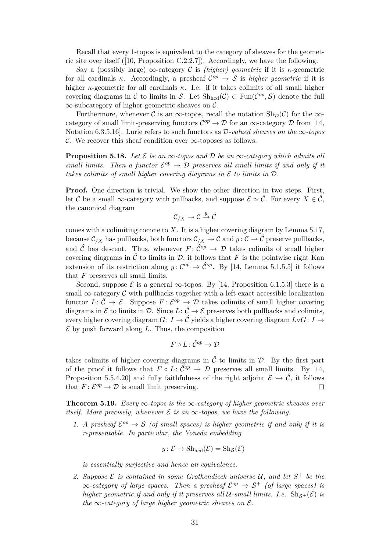Recall that every 1-topos is equivalent to the category of sheaves for the geometric site over itself ([\[10,](#page-35-12) Proposition C.2.2.7]). Accordingly, we have the following.

Say a (possibly large)  $\infty$ -category C is *(higher) geometric* if it is *κ*-geometric for all cardinals  $\kappa$ . Accordingly, a presheaf  $\mathcal{C}^{op} \to \mathcal{S}$  is *higher geometric* if it is higher *κ*-geometric for all cardinals *κ*. I.e. if it takes colimits of all small higher covering diagrams in C to limits in S. Let  $\text{Sh}_{\text{hcd}}(\mathcal{C}) \subset \text{Fun}(\mathcal{C}^{op}, \mathcal{S})$  denote the full  $\infty$ -subcategory of higher geometric sheaves on C.

Furthermore, whenever C is an  $\infty$ -topos, recall the notation  $\text{Sh}_{\mathcal{D}}(\mathcal{C})$  for the  $\infty$ category of small limit-preserving functors  $\mathcal{C}^{op} \to \mathcal{D}$  for an  $\infty$ -category  $\mathcal D$  from [\[14,](#page-35-6) Notation 6.3.5.16]. Lurie refers to such functors as D*-valued sheaves on the* ∞*-topos* C. We recover this sheaf condition over  $\infty$ -toposes as follows.

<span id="page-30-1"></span>**Proposition 5.18.** Let  $\mathcal{E}$  be an  $\infty$ -topos and  $\mathcal{D}$  be an  $\infty$ -category which admits all *small limits. Then a functor*  $\mathcal{E}^{op} \to \mathcal{D}$  *preserves all small limits if and only if it takes colimits of small higher covering diagrams in* E *to limits in* D*.*

**Proof.** One direction is trivial. We show the other direction in two steps. First, let C be a small  $\infty$ -category with pullbacks, and suppose  $\mathcal{E} \simeq \hat{\mathcal{C}}$ . For every  $X \in \hat{\mathcal{C}}$ , the canonical diagram

$$
\mathcal{C}_{/X}\twoheadrightarrow \mathcal{C}\xrightarrow{y}\hat{\mathcal{C}}
$$

comes with a colimiting cocone to *X*. It is a higher covering diagram by Lemma [5.17,](#page-29-0) because  $\mathcal{C}_{/X}$  has pullbacks, both functors  $\mathcal{C}_{/X} \to \mathcal{C}$  and  $y: \mathcal{C} \to \hat{\mathcal{C}}$  preserve pullbacks, and  $\hat{\mathcal{C}}$  has descent. Thus, whenever  $F: \hat{\mathcal{C}}^{op} \to \mathcal{D}$  takes colimits of small higher covering diagrams in  $\hat{\mathcal{C}}$  to limits in  $\mathcal{D}$ , it follows that *F* is the pointwise right Kan extension of its restriction along  $y: \mathcal{C}^{op} \to \hat{\mathcal{C}}^{op}$ . By [\[14,](#page-35-6) Lemma 5.1.5.5] it follows that *F* preserves all small limits.

Second, suppose  $\mathcal E$  is a general  $\infty$ -topos. By [\[14,](#page-35-6) Proposition 6.1.5.3] there is a small  $\infty$ -category C with pullbacks together with a left exact accessible localization functor  $L: \hat{\mathcal{C}} \to \mathcal{E}$ . Suppose  $F: \mathcal{E}^{op} \to \mathcal{D}$  takes colimits of small higher covering diagrams in  $\mathcal E$  to limits in  $\mathcal D$ . Since  $L: \hat{\mathcal C} \to \mathcal E$  preserves both pullbacks and colimits, every higher covering diagram  $G: I \to \hat{\mathcal{C}}$  yields a higher covering diagram  $L \circ G: I \to$  $\mathcal E$  by push forward along  $L$ . Thus, the composition

$$
F\circ L\colon \hat{\mathcal{C}}^{op}\to \mathcal{D}
$$

takes colimits of higher covering diagrams in  $\hat{\mathcal{C}}$  to limits in  $\mathcal{D}$ . By the first part of the proof it follows that  $F \circ L: \hat{C}^{op} \to \mathcal{D}$  preserves all small limits. By [\[14,](#page-35-6) Proposition 5.5.4.20] and fully faithfulness of the right adjoint  $\mathcal{E} \hookrightarrow \hat{\mathcal{C}}$ , it follows that  $F: \mathcal{E}^{op} \to \mathcal{D}$  is small limit preserving.  $\Box$ 

<span id="page-30-0"></span>**Theorem 5.19.** *Every* ∞*-topos is the* ∞*-category of higher geometric sheaves over itself.* More precisely, whenever  $\mathcal E$  is an  $\infty$ -topos, we have the following.

1. A presheaf  $\mathcal{E}^{op} \to \mathcal{S}$  (of small spaces) is higher geometric if and only if it is *representable. In particular, the Yoneda embedding*

$$
y: \mathcal{E} \to \mathrm{Sh}_{\mathrm{hcd}}(\mathcal{E}) = \mathrm{Sh}_{\mathcal{S}}(\mathcal{E})
$$

*is essentially surjective and hence an equivalence.*

2. Suppose  $\mathcal{E}$  is contained in some Grothendieck universe  $\mathcal{U}$ , and let  $S^+$  be the  $\infty$ -category of large spaces. Then a presheaf  $\mathcal{E}^{op} \to \mathcal{S}^+$  (of large spaces) is *higher geometric if and only if it preserves all*  $U$ -small limits. I.e.  $\text{Sh}_{S+}(\mathcal{E})$  *is the*  $\infty$ -category of large higher geometric sheaves on  $\mathcal{E}$ .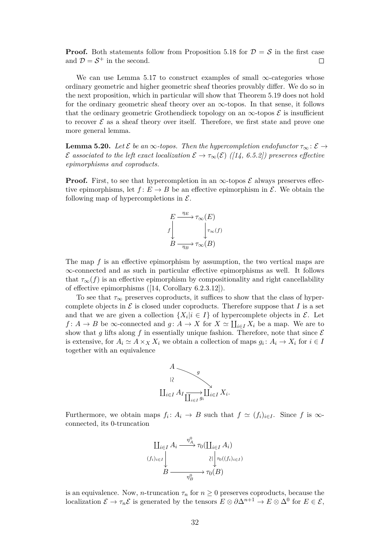**Proof.** Both statements follow from Proposition [5.18](#page-30-1) for  $\mathcal{D} = \mathcal{S}$  in the first case and  $\mathcal{D} = \mathcal{S}^+$  in the second.  $\Box$ 

We can use Lemma [5.17](#page-29-0) to construct examples of small  $\infty$ -categories whose ordinary geometric and higher geometric sheaf theories provably differ. We do so in the next proposition, which in particular will show that Theorem [5.19](#page-30-0) does not hold for the ordinary geometric sheaf theory over an  $\infty$ -topos. In that sense, it follows that the ordinary geometric Grothendieck topology on an  $\infty$ -topos  $\mathcal E$  is insufficient to recover  $\mathcal E$  as a sheaf theory over itself. Therefore, we first state and prove one more general lemma.

<span id="page-31-0"></span>**Lemma 5.20.** *Let*  $\mathcal{E}$  *be an* ∞*-topos. Then the hypercompletion endofunctor*  $\tau_{\infty}$ :  $\mathcal{E} \rightarrow$  $\mathcal{E}$  associated to the left exact localization  $\mathcal{E} \to \tau_{\infty}(\mathcal{E})$  ([\[14,](#page-35-6) 6.5.2]) preserves effective *epimorphisms and coproducts.*

**Proof.** First, to see that hypercompletion in an  $\infty$ -topos  $\mathcal E$  always preserves effective epimorphisms, let  $f: E \to B$  be an effective epimorphism in  $\mathcal{E}$ . We obtain the following map of hypercompletions in  $\mathcal{E}$ .



The map *f* is an effective epimorphism by assumption, the two vertical maps are ∞-connected and as such in particular effective epimorphisms as well. It follows that  $\tau_{\infty}(f)$  is an effective epimorphism by compositionality and right cancellability of effective epimorphisms ([\[14,](#page-35-6) Corollary 6.2.3.12]).

To see that  $\tau_{\infty}$  preserves coproducts, it suffices to show that the class of hypercomplete objects in  $\mathcal E$  is closed under coproducts. Therefore suppose that  $I$  is a set and that we are given a collection  $\{X_i | i \in I\}$  of hypercomplete objects in  $\mathcal{E}$ . Let *f* : *A*  $\rightarrow$  *B* be  $\infty$ -connected and *g* : *A*  $\rightarrow$  *X* for *X*  $\simeq \coprod_{i\in I} X_i$  be a map. We are to show that g lifts along f in essentially unique fashion. Therefore, note that since  $\mathcal E$ is extensive, for  $A_i \simeq A \times_X X_i$  we obtain a collection of maps  $g_i: A_i \to X_i$  for  $i \in I$ together with an equivalence



Furthermore, we obtain maps  $f_i: A_i \to B$  such that  $f \simeq (f_i)_{i \in I}$ . Since f is  $\infty$ connected, its 0-truncation

$$
\begin{array}{c}\n\coprod_{i \in I} A_i \xrightarrow{\eta_A^0} \tau_0(\coprod_{i \in I} A_i) \\
\downarrow \\
\downarrow \\
\downarrow \\
B \xrightarrow{\eta_B^0} \tau_0(B)\n\end{array}
$$

is an equivalence. Now, *n*-truncation  $\tau_n$  for  $n \geq 0$  preserves coproducts, because the localization  $\mathcal{E} \to \tau_n \mathcal{E}$  is generated by the tensors  $E \otimes \partial \Delta^{n+1} \to E \otimes \Delta^0$  for  $E \in \mathcal{E}$ ,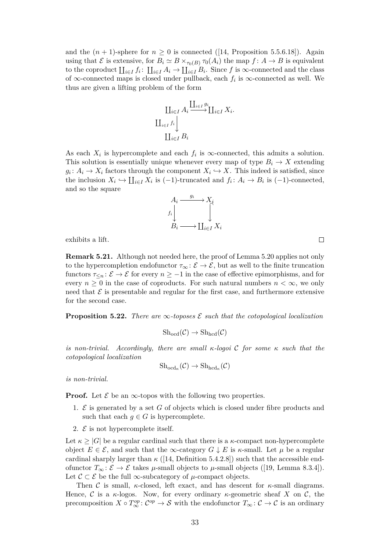and the  $(n + 1)$ -sphere for  $n \geq 0$  is connected ([\[14,](#page-35-6) Proposition 5.5.6.18]). Again using that  $\mathcal E$  is extensive, for  $B_i \simeq B \times_{\tau_0(B)} \tau_0(A_i)$  the map  $f: A \to B$  is equivalent to the coproduct  $\prod_{i\in I} f_i: \prod_{i\in I} A_i \to \prod_{i\in I} B_i$ . Since f is  $\infty$ -connected and the class of ∞-connected maps is closed under pullback, each  $f_i$  is ∞-connected as well. We thus are given a lifting problem of the form

$$
\coprod_{i \in I} A_i \xrightarrow{\coprod_{i \in I} g_i} \coprod_{i \in I} X_i.
$$

$$
\coprod_{i \in I} f_i
$$

$$
\coprod_{i \in I} B_i
$$

As each  $X_i$  is hypercomplete and each  $f_i$  is  $\infty$ -connected, this admits a solution. This solution is essentially unique whenever every map of type  $B_i \to X$  extending  $g_i: A_i \to X_i$  factors through the component  $X_i \hookrightarrow X$ . This indeed is satisfied, since the inclusion  $X_i \hookrightarrow \coprod_{i \in I} X_i$  is  $(-1)$ -truncated and  $f_i: A_i \to B_i$  is  $(-1)$ -connected, and so the square



exhibits a lift.

**Remark 5.21.** Although not needed here, the proof of Lemma [5.20](#page-31-0) applies not only to the hypercompletion endofunctor  $\tau_{\infty} : \mathcal{E} \to \mathcal{E}$ , but as well to the finite truncation functors  $\tau_{\leq n}$ :  $\mathcal{E} \to \mathcal{E}$  for every  $n \geq -1$  in the case of effective epimorphisms, and for every  $n \geq 0$  in the case of coproducts. For such natural numbers  $n < \infty$ , we only need that  $\mathcal E$  is presentable and regular for the first case, and furthermore extensive for the second case.

<span id="page-32-0"></span>**Proposition 5.22.** *There are*  $\infty$ *-toposes*  $\mathcal{E}$  *such that the cotopological localization* 

$$
Sh_{\mathrm{ocd}}(\mathcal{C}) \to Sh_{\mathrm{hcd}}(\mathcal{C})
$$

*is non-trivial. Accordingly, there are small κ-logoi* C *for some κ such that the cotopological localization*

$$
\mathrm{Sh}_{\mathrm{ocd}_{\kappa}}(\mathcal{C}) \to \mathrm{Sh}_{\mathrm{hcd}_{\kappa}}(\mathcal{C})
$$

*is non-trivial.*

**Proof.** Let  $\mathcal{E}$  be an  $\infty$ -topos with the following two properties.

- 1. E is generated by a set *G* of objects which is closed under fibre products and such that each  $g \in G$  is hypercomplete.
- 2.  $\mathcal{E}$  is not hypercomplete itself.

Let  $\kappa \geq |G|$  be a regular cardinal such that there is a  $\kappa$ -compact non-hypercomplete object  $E \in \mathcal{E}$ , and such that the  $\infty$ -category  $G \downarrow E$  is *κ*-small. Let  $\mu$  be a regular cardinal sharply larger than  $\kappa$  ([\[14,](#page-35-6) Definition 5.4.2.8]) such that the accessible endofunctor  $T_\infty$ :  $\mathcal{E} \to \mathcal{E}$  takes  $\mu$ -small objects to  $\mu$ -small objects ([\[19,](#page-35-16) Lemma 8.3.4]). Let  $\mathcal{C} \subset \mathcal{E}$  be the full  $\infty$ -subcategory of  $\mu$ -compact objects.

Then C is small,  $\kappa$ -closed, left exact, and has descent for  $\kappa$ -small diagrams. Hence, C is a  $\kappa$ -logos. Now, for every ordinary  $\kappa$ -geometric sheaf X on C, the precomposition  $X \circ T_{\infty}^{op} : C^{op} \to S$  with the endofunctor  $T_{\infty} : C \to C$  is an ordinary

 $\Box$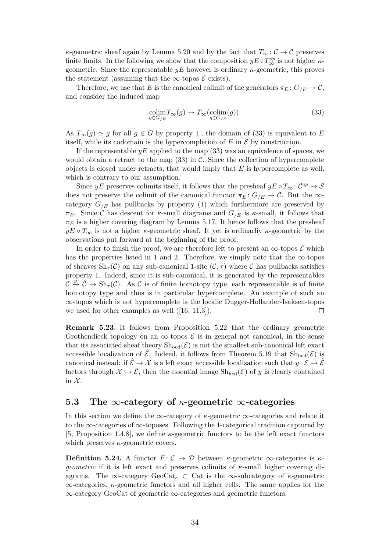*κ*-geometric sheaf again by Lemma [5.20](#page-31-0) and by the fact that  $T_{\infty}$ :  $\mathcal{C} \to \mathcal{C}$  preserves finite limits. In the following we show that the composition  $yE \circ T_{\infty}^{op}$  is not higher  $\kappa$ geometric. Since the representable *yE* however is ordinary *κ*-geometric, this proves the statement (assuming that the  $\infty$ -topos  $\mathcal E$  exists).

Therefore, we use that *E* is the canonical colimit of the generators  $\pi_E: G_{/E} \to \mathcal{C}$ , and consider the induced map

<span id="page-33-0"></span>
$$
\underset{g \in G/E}{\text{colim}} T_{\infty}(g) \to T_{\infty}(\underset{g \in G/E}{\text{colim}}(g)).\tag{33}
$$

As  $T_\infty(g) \simeq g$  for all  $g \in G$  by property 1., the domain of [\(33\)](#page-33-0) is equivalent to *E* itself, while its codomain is the hypercompletion of  $E$  in  $\mathcal E$  by construction.

If the representable *yE* applied to the map [\(33\)](#page-33-0) was an equivalence of spaces, we would obtain a retract to the map  $(33)$  in C. Since the collection of hypercomplete objects is closed under retracts, that would imply that *E* is hypercomplete as well, which is contrary to our assumption.

Since  $yE$  preserves colimits itself, it follows that the presheaf  $yE \circ T_{\infty} : C^{op} \to S$ does not preserve the colimit of the canonical functor  $\pi_E: G_{/E} \to \mathcal{C}$ . But the  $\infty$ category  $G_{/E}$  has pullbacks by property (1) which furthermore are preserved by *πE*. Since C has descent for *κ*-small diagrams and  $G$ <sub>/*E*</sub> is *κ*-small, it follows that  $\pi_E$  is a higher covering diagram by Lemma [5.17.](#page-29-0) It hence follows that the presheaf  $yE \circ T_{\infty}$  is not a higher *κ*-geometric sheaf. It yet is ordinarliy *κ*-geometric by the observations put forward at the beginning of the proof.

In order to finish the proof, we are therefore left to present an  $\infty$ -topos  $\mathcal E$  which has the properties listed in 1 and 2. Therefore, we simply note that the  $\infty$ -topos of sheaves  $\mathrm{Sh}_{\tau}(\mathcal{C})$  on any sub-canonical 1-site  $(\mathcal{C}, \tau)$  where  $\mathcal{C}$  has pullbacks satisfies property 1. Indeed, since it is sub-canonical, it is generated by the representables  $\mathcal{C} \stackrel{y}{\to} \hat{\mathcal{C}} \to Sh_{\tau}(\mathcal{C})$ . As  $\mathcal{C}$  is of finite homotopy type, each representable is of finite homotopy type and thus is in particular hypercomplete. An example of such an ∞-topos which is not hypercomplete is the localic Dugger-Hollander-Isaksen-topos we used for other examples as well ([\[16,](#page-35-13) 11.3]).  $\Box$ 

**Remark 5.23.** It follows from Proposition [5.22](#page-32-0) that the ordinary geometric Grothendieck topology on an  $\infty$ -topos  $\mathcal E$  is in general not canonical, in the sense that its associated sheaf theory  $\text{Sh}_{\text{odd}}(\mathcal{E})$  is not the smallest sub-canonical left exact accessible localization of  $\hat{\mathcal{E}}$ . Indeed, it follows from Theorem [5.19](#page-30-0) that  $\text{Sh}_{\text{hcd}}(\mathcal{E})$  is canonical instead: if  $\hat{\mathcal{E}} \to \mathcal{X}$  is a left exact accessible localization such that  $y \colon \mathcal{E} \to \hat{\mathcal{E}}$ factors through  $\mathcal{X} \hookrightarrow \hat{\mathcal{E}}$ , then the essential image  $\text{Sh}_{\text{hcd}}(\mathcal{E})$  of *y* is clearly contained in  $\mathcal{X}$ .

#### **5.3 The** ∞**-category of** *κ***-geometric** ∞**-categories**

In this section we define the ∞-category of *κ*-geometric ∞-categories and relate it to the  $\infty$ -categories of  $\infty$ -toposes. Following the 1-categorical tradition captured by [\[5,](#page-35-1) Proposition 1.4.8], we define *κ*-geometric functors to be the left exact functors which preserves *κ*-geometric covers.

**Definition 5.24.** A functor  $F: \mathcal{C} \to \mathcal{D}$  between *κ*-geometric  $\infty$ -categories is *κgeometric* if it is left exact and preserves colimits of *κ*-small higher covering diagrams. The  $\infty$ -category GeoCat<sub>*k*</sub>  $\subset$  Cat is the  $\infty$ -subcategory of *κ*-geometric ∞-categories, *κ*-geometric functors and all higher cells. The same applies for the ∞-category GeoCat of geometric ∞-categories and geometric functors.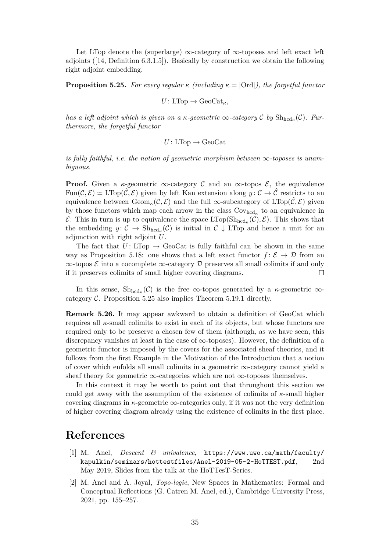Let LTop denote the (superlarge)  $\infty$ -category of  $\infty$ -toposes and left exact left adjoints ([\[14,](#page-35-6) Definition 6.3.1.5]). Basically by construction we obtain the following right adjoint embedding.

<span id="page-34-2"></span>**Proposition 5.25.** *For every regular*  $\kappa$  *(including*  $\kappa = |Ord|$ *), the forgetful functor* 

$$
U\colon\mathrm{LTop}\to\mathrm{GeoCat}_\kappa,
$$

*has a left adjoint which is given on a*  $\kappa$ -geometric  $\infty$ -category C by  $\mathrm{Sh}_{\mathrm{hcd}_{\kappa}}(\mathcal{C})$ . Fur*thermore, the forgetful functor*

$$
U: \text{LTop} \rightarrow \text{GeoCat}
$$

*is fully faithful, i.e. the notion of geometric morphism between*  $\infty$ *-toposes is unambiguous.*

**Proof.** Given a  $\kappa$ -geometric  $\infty$ -category C and an  $\infty$ -topos E, the equivalence Fun( $\mathcal{C}, \mathcal{E}$ )  $\simeq$  LTop( $\hat{\mathcal{C}}, \mathcal{E}$ ) given by left Kan extension along  $y: \mathcal{C} \to \hat{\mathcal{C}}$  restricts to an equivalence between  $\text{Geom}_{\kappa}(\mathcal{C}, \mathcal{E})$  and the full  $\infty$ -subcategory of  $\text{LTop}(\hat{\mathcal{C}}, \mathcal{E})$  given by those functors which map each arrow in the class  $Cov_{hcd_{\kappa}}$  to an equivalence in E. This in turn is up to equivalence the space  $\text{LTop}(\text{Sh}_{\text{hcd}_{\kappa}}(\mathcal{C}), \mathcal{E})$ . This shows that the embedding  $y: \mathcal{C} \to \text{Sh}_{\text{hcd}_{\kappa}}(\mathcal{C})$  is initial in  $\mathcal{C} \downarrow$  LTop and hence a unit for an adjunction with right adjoint *U*.

The fact that  $U: \text{LTop} \to \text{GeoCat}$  is fully faithful can be shown in the same way as Proposition [5.18:](#page-30-1) one shows that a left exact functor  $f: \mathcal{E} \to \mathcal{D}$  from an  $\infty$ -topos  $\mathcal E$  into a cocomplete  $\infty$ -category  $\mathcal D$  preserves all small colimits if and only if it preserves colimits of small higher covering diagrams.  $\Box$ 

In this sense,  $\mathrm{Sh}_{\mathrm{hcd}_{\kappa}}(\mathcal{C})$  is the free  $\infty$ -topos generated by a  $\kappa$ -geometric  $\infty$ category  $C$ . Proposition [5.25](#page-34-2) also implies Theorem [5.19.](#page-30-0)1 directly.

**Remark 5.26.** It may appear awkward to obtain a definition of GeoCat which requires all *κ*-small colimits to exist in each of its objects, but whose functors are required only to be preserve a chosen few of them (although, as we have seen, this discrepancy vanishes at least in the case of ∞-toposes). However, the definition of a geometric functor is imposed by the covers for the associated sheaf theories, and it follows from the first Example in the Motivation of the Introduction that a notion of cover which enfolds all small colimits in a geometric ∞-category cannot yield a sheaf theory for geometric  $\infty$ -categories which are not  $\infty$ -toposes themselves.

In this context it may be worth to point out that throughout this section we could get away with the assumption of the existence of colimits of  $\kappa$ -small higher covering diagrams in  $\kappa$ -geometric  $\infty$ -categories only, if it was not the very definition of higher covering diagram already using the existence of colimits in the first place.

# **References**

- <span id="page-34-1"></span>[1] M. Anel, *Descent & univalence*, [https://www.uwo.ca/math/faculty/](https://www.uwo.ca/math/faculty/kapulkin/seminars/hottestfiles/Anel-2019-05-2-HoTTEST.pdf) [kapulkin/seminars/hottestfiles/Anel-2019-05-2-HoTTEST.pdf](https://www.uwo.ca/math/faculty/kapulkin/seminars/hottestfiles/Anel-2019-05-2-HoTTEST.pdf), 2nd May 2019, Slides from the talk at the HoTTesT-Series.
- <span id="page-34-0"></span>[2] M. Anel and A. Joyal, *Topo-logie*, New Spaces in Mathematics: Formal and Conceptual Reflections (G. Catren M. Anel, ed.), Cambridge University Press, 2021, pp. 155–257.